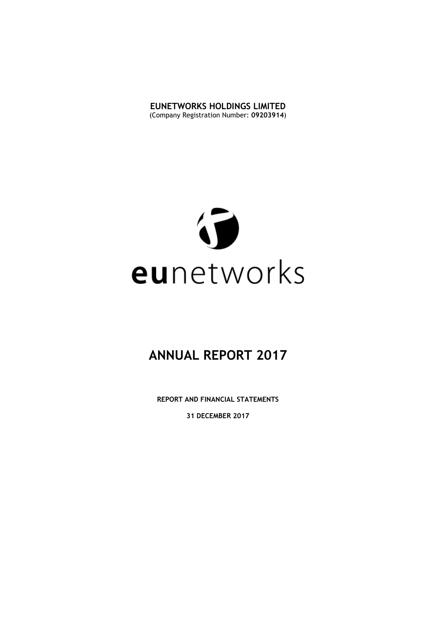**EUNETWORKS HOLDINGS LIMITED** (Company Registration Number: **09203914**)



# **ANNUAL REPORT 2017**

**REPORT AND FINANCIAL STATEMENTS**

**31 DECEMBER 2017**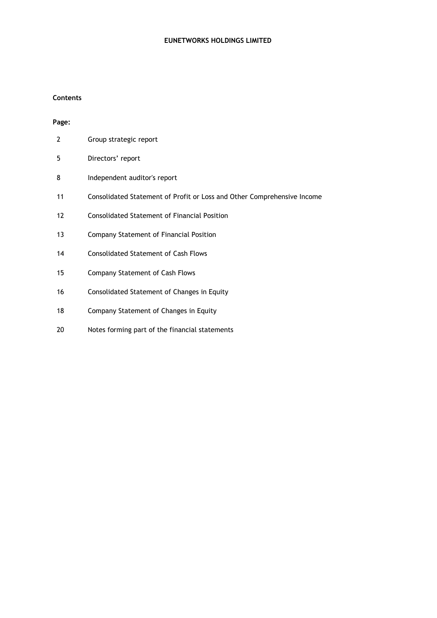# **Contents**

# **Page:**

| $\overline{2}$    | Group strategic report                                                  |
|-------------------|-------------------------------------------------------------------------|
| 5                 | Directors' report                                                       |
| 8                 | Independent auditor's report                                            |
| 11                | Consolidated Statement of Profit or Loss and Other Comprehensive Income |
| $12 \overline{ }$ | <b>Consolidated Statement of Financial Position</b>                     |
| 13                | Company Statement of Financial Position                                 |
| 14                | <b>Consolidated Statement of Cash Flows</b>                             |
| 15                | <b>Company Statement of Cash Flows</b>                                  |
| 16                | Consolidated Statement of Changes in Equity                             |
| 18                | Company Statement of Changes in Equity                                  |
| 20                | Notes forming part of the financial statements                          |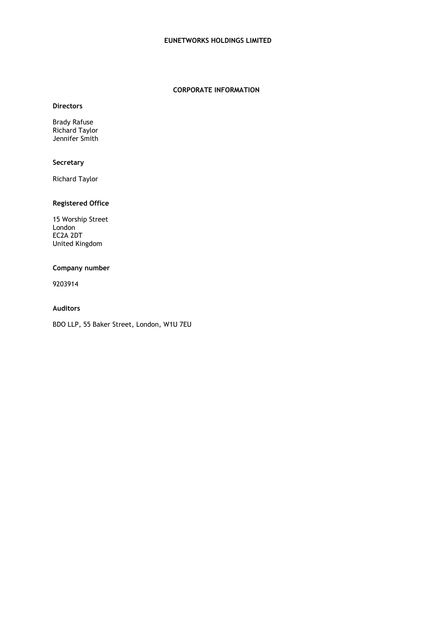### **CORPORATE INFORMATION**

### **Directors**

Brady Rafuse Richard Taylor Jennifer Smith

## **Secretary**

Richard Taylor

# **Registered Office**

15 Worship Street London EC2A 2DT United Kingdom

# **Company number**

9203914

# **Auditors**

BDO LLP, 55 Baker Street, London, W1U 7EU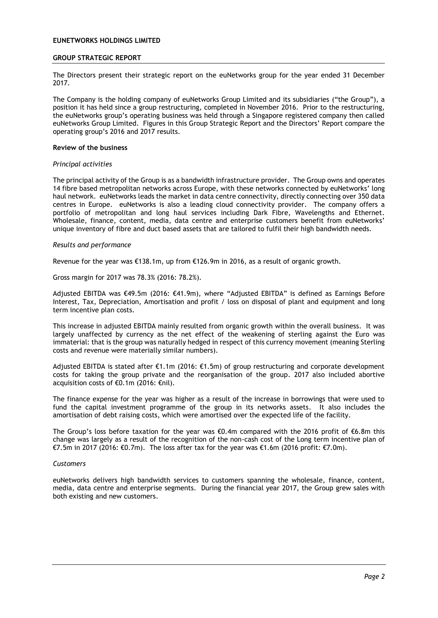#### **GROUP STRATEGIC REPORT**

The Directors present their strategic report on the euNetworks group for the year ended 31 December 2017.

The Company is the holding company of euNetworks Group Limited and its subsidiaries ("the Group"), a position it has held since a group restructuring, completed in November 2016. Prior to the restructuring, the euNetworks group's operating business was held through a Singapore registered company then called euNetworks Group Limited. Figures in this Group Strategic Report and the Directors' Report compare the operating group's 2016 and 2017 results.

#### **Review of the business**

#### *Principal activities*

The principal activity of the Group is as a bandwidth infrastructure provider. The Group owns and operates 14 fibre based metropolitan networks across Europe, with these networks connected by euNetworks' long haul network. euNetworks leads the market in data centre connectivity, directly connecting over 350 data centres in Europe. euNetworks is also a leading cloud connectivity provider. The company offers a portfolio of metropolitan and long haul services including Dark Fibre, Wavelengths and Ethernet. Wholesale, finance, content, media, data centre and enterprise customers benefit from euNetworks' unique inventory of fibre and duct based assets that are tailored to fulfil their high bandwidth needs.

#### *Results and performance*

Revenue for the year was €138.1m, up from €126.9m in 2016, as a result of organic growth.

Gross margin for 2017 was 78.3% (2016: 78.2%).

Adjusted EBITDA was €49.5m (2016: €41.9m), where "Adjusted EBITDA" is defined as Earnings Before Interest, Tax, Depreciation, Amortisation and profit / loss on disposal of plant and equipment and long term incentive plan costs.

This increase in adjusted EBITDA mainly resulted from organic growth within the overall business. It was largely unaffected by currency as the net effect of the weakening of sterling against the Euro was immaterial: that is the group was naturally hedged in respect of this currency movement (meaning Sterling costs and revenue were materially similar numbers).

Adjusted EBITDA is stated after €1.1m (2016: €1.5m) of group restructuring and corporate development costs for taking the group private and the reorganisation of the group. 2017 also included abortive acquisition costs of €0.1m (2016: €nil).

The finance expense for the year was higher as a result of the increase in borrowings that were used to fund the capital investment programme of the group in its networks assets. It also includes the amortisation of debt raising costs, which were amortised over the expected life of the facility.

The Group's loss before taxation for the year was  $€0.4$ m compared with the 2016 profit of  $€6.8$ m this change was largely as a result of the recognition of the non-cash cost of the Long term incentive plan of €7.5m in 2017 (2016: €0.7m). The loss after tax for the year was  $€1.6m$  (2016 profit:  $€7.0m$ ).

#### *Customers*

euNetworks delivers high bandwidth services to customers spanning the wholesale, finance, content, media, data centre and enterprise segments. During the financial year 2017, the Group grew sales with both existing and new customers.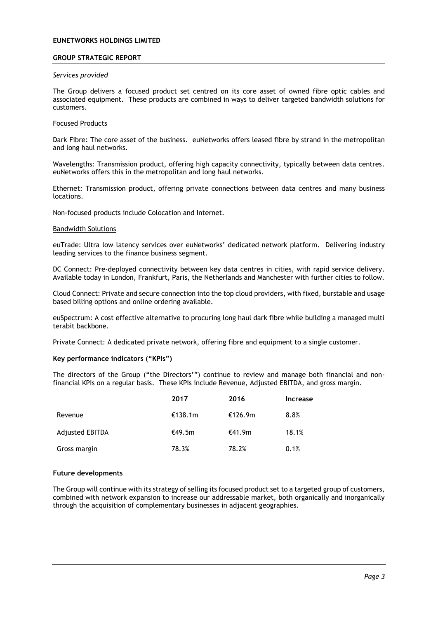### **GROUP STRATEGIC REPORT**

#### *Services provided*

The Group delivers a focused product set centred on its core asset of owned fibre optic cables and associated equipment. These products are combined in ways to deliver targeted bandwidth solutions for customers.

### Focused Products

Dark Fibre: The core asset of the business. euNetworks offers leased fibre by strand in the metropolitan and long haul networks.

Wavelengths: Transmission product, offering high capacity connectivity, typically between data centres. euNetworks offers this in the metropolitan and long haul networks.

Ethernet: Transmission product, offering private connections between data centres and many business locations.

Non-focused products include Colocation and Internet.

#### Bandwidth Solutions

euTrade: Ultra low latency services over euNetworks' dedicated network platform. Delivering industry leading services to the finance business segment.

DC Connect: Pre-deployed connectivity between key data centres in cities, with rapid service delivery. Available today in London, Frankfurt, Paris, the Netherlands and Manchester with further cities to follow.

Cloud Connect: Private and secure connection into the top cloud providers, with fixed, burstable and usage based billing options and online ordering available.

euSpectrum: A cost effective alternative to procuring long haul dark fibre while building a managed multi terabit backbone.

Private Connect: A dedicated private network, offering fibre and equipment to a single customer.

#### **Key performance indicators ("KPIs")**

The directors of the Group ("the Directors'") continue to review and manage both financial and nonfinancial KPIs on a regular basis. These KPIs include Revenue, Adjusted EBITDA, and gross margin.

|                 | 2017    | 2016    | Increase |
|-----------------|---------|---------|----------|
| Revenue         | €138.1m | €126.9m | 8.8%     |
| Adjusted EBITDA | €49.5m  | €41.9m  | 18.1%    |
| Gross margin    | 78.3%   | 78.2%   | 0.1%     |

#### **Future developments**

The Group will continue with its strategy of selling its focused product set to a targeted group of customers, combined with network expansion to increase our addressable market, both organically and inorganically through the acquisition of complementary businesses in adjacent geographies.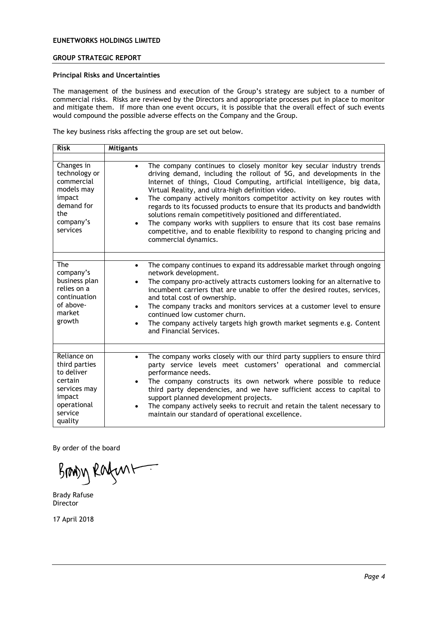# **GROUP STRATEGIC REPORT**

### **Principal Risks and Uncertainties**

The management of the business and execution of the Group's strategy are subject to a number of commercial risks. Risks are reviewed by the Directors and appropriate processes put in place to monitor and mitigate them. If more than one event occurs, it is possible that the overall effect of such events would compound the possible adverse effects on the Company and the Group.

The key business risks affecting the group are set out below.

| <b>Risk</b>                                                                                                          | <b>Mitigants</b>                                                                                                                                                                                                                                                                                                                                                                                                                                                                                                                                                                                                                                                                               |
|----------------------------------------------------------------------------------------------------------------------|------------------------------------------------------------------------------------------------------------------------------------------------------------------------------------------------------------------------------------------------------------------------------------------------------------------------------------------------------------------------------------------------------------------------------------------------------------------------------------------------------------------------------------------------------------------------------------------------------------------------------------------------------------------------------------------------|
|                                                                                                                      |                                                                                                                                                                                                                                                                                                                                                                                                                                                                                                                                                                                                                                                                                                |
| Changes in<br>technology or<br>commercial<br>models may<br>impact<br>demand for<br>the<br>company's<br>services      | The company continues to closely monitor key secular industry trends<br>$\bullet$<br>driving demand, including the rollout of 5G, and developments in the<br>Internet of things, Cloud Computing, artificial intelligence, big data,<br>Virtual Reality, and ultra-high definition video.<br>The company actively monitors competitor activity on key routes with<br>regards to its focussed products to ensure that its products and bandwidth<br>solutions remain competitively positioned and differentiated.<br>The company works with suppliers to ensure that its cost base remains<br>competitive, and to enable flexibility to respond to changing pricing and<br>commercial dynamics. |
|                                                                                                                      |                                                                                                                                                                                                                                                                                                                                                                                                                                                                                                                                                                                                                                                                                                |
| <b>The</b><br>company's<br>business plan<br>relies on a<br>continuation<br>of above-<br>market<br>growth             | The company continues to expand its addressable market through ongoing<br>$\bullet$<br>network development.<br>The company pro-actively attracts customers looking for an alternative to<br>incumbent carriers that are unable to offer the desired routes, services,<br>and total cost of ownership.<br>The company tracks and monitors services at a customer level to ensure<br>$\bullet$<br>continued low customer churn.<br>The company actively targets high growth market segments e.g. Content<br>and Financial Services.                                                                                                                                                              |
|                                                                                                                      |                                                                                                                                                                                                                                                                                                                                                                                                                                                                                                                                                                                                                                                                                                |
| Reliance on<br>third parties<br>to deliver<br>certain<br>services may<br>impact<br>operational<br>service<br>quality | The company works closely with our third party suppliers to ensure third<br>party service levels meet customers' operational and commercial<br>performance needs.<br>The company constructs its own network where possible to reduce<br>third party dependencies, and we have sufficient access to capital to<br>support planned development projects.<br>The company actively seeks to recruit and retain the talent necessary to<br>maintain our standard of operational excellence.                                                                                                                                                                                                         |

By order of the board

Browny Ragunt

Brady Rafuse Director

17 April 2018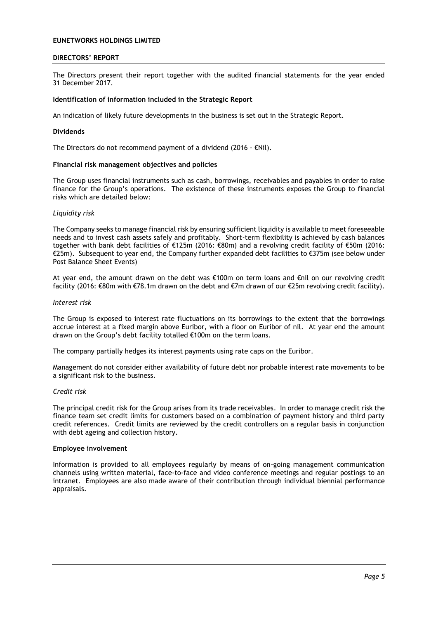#### **DIRECTORS' REPORT**

The Directors present their report together with the audited financial statements for the year ended 31 December 2017.

#### **Identification of information included in the Strategic Report**

An indication of likely future developments in the business is set out in the Strategic Report.

#### **Dividends**

The Directors do not recommend payment of a dividend (2016 - €Nil).

#### **Financial risk management objectives and policies**

The Group uses financial instruments such as cash, borrowings, receivables and payables in order to raise finance for the Group's operations. The existence of these instruments exposes the Group to financial risks which are detailed below:

#### *Liquidity risk*

The Company seeks to manage financial risk by ensuring sufficient liquidity is available to meet foreseeable needs and to invest cash assets safely and profitably. Short-term flexibility is achieved by cash balances together with bank debt facilities of €125m (2016: €80m) and a revolving credit facility of €50m (2016: €25m). Subsequent to year end, the Company further expanded debt facilities to €375m (see below under Post Balance Sheet Events)

At year end, the amount drawn on the debt was €100m on term loans and €nil on our revolving credit facility (2016: €80m with €78.1m drawn on the debt and €7m drawn of our €25m revolving credit facility).

#### *Interest risk*

The Group is exposed to interest rate fluctuations on its borrowings to the extent that the borrowings accrue interest at a fixed margin above Euribor, with a floor on Euribor of nil. At year end the amount drawn on the Group's debt facility totalled €100m on the term loans.

The company partially hedges its interest payments using rate caps on the Euribor.

Management do not consider either availability of future debt nor probable interest rate movements to be a significant risk to the business.

#### *Credit risk*

The principal credit risk for the Group arises from its trade receivables. In order to manage credit risk the finance team set credit limits for customers based on a combination of payment history and third party credit references. Credit limits are reviewed by the credit controllers on a regular basis in conjunction with debt ageing and collection history.

#### **Employee involvement**

Information is provided to all employees regularly by means of on-going management communication channels using written material, face-to-face and video conference meetings and regular postings to an intranet. Employees are also made aware of their contribution through individual biennial performance appraisals.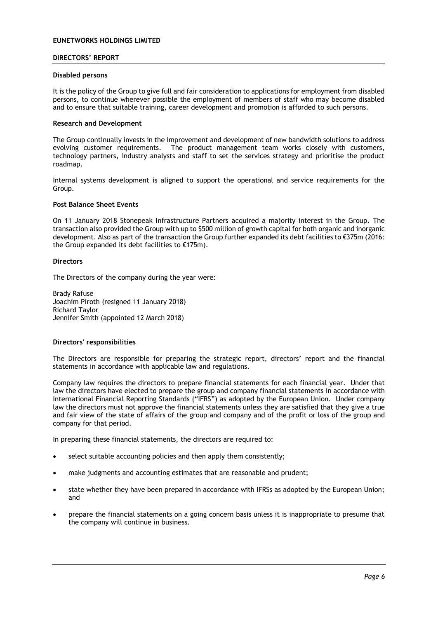### **DIRECTORS' REPORT**

#### **Disabled persons**

It is the policy of the Group to give full and fair consideration to applications for employment from disabled persons, to continue wherever possible the employment of members of staff who may become disabled and to ensure that suitable training, career development and promotion is afforded to such persons.

#### **Research and Development**

The Group continually invests in the improvement and development of new bandwidth solutions to address evolving customer requirements. The product management team works closely with customers, technology partners, industry analysts and staff to set the services strategy and prioritise the product roadmap.

Internal systems development is aligned to support the operational and service requirements for the Group.

### **Post Balance Sheet Events**

On 11 January 2018 Stonepeak Infrastructure Partners acquired a majority interest in the Group. The transaction also provided the Group with up to \$500 million of growth capital for both organic and inorganic development. Also as part of the transaction the Group further expanded its debt facilities to €375m (2016: the Group expanded its debt facilities to €175m).

### **Directors**

The Directors of the company during the year were:

Brady Rafuse Joachim Piroth (resigned 11 January 2018) Richard Taylor Jennifer Smith (appointed 12 March 2018)

#### **Directors' responsibilities**

The Directors are responsible for preparing the strategic report, directors' report and the financial statements in accordance with applicable law and regulations.

Company law requires the directors to prepare financial statements for each financial year. Under that law the directors have elected to prepare the group and company financial statements in accordance with International Financial Reporting Standards ("IFRS") as adopted by the European Union. Under company law the directors must not approve the financial statements unless they are satisfied that they give a true and fair view of the state of affairs of the group and company and of the profit or loss of the group and company for that period.

In preparing these financial statements, the directors are required to:

- select suitable accounting policies and then apply them consistently;
- make judgments and accounting estimates that are reasonable and prudent;
- state whether they have been prepared in accordance with IFRSs as adopted by the European Union; and
- prepare the financial statements on a going concern basis unless it is inappropriate to presume that the company will continue in business.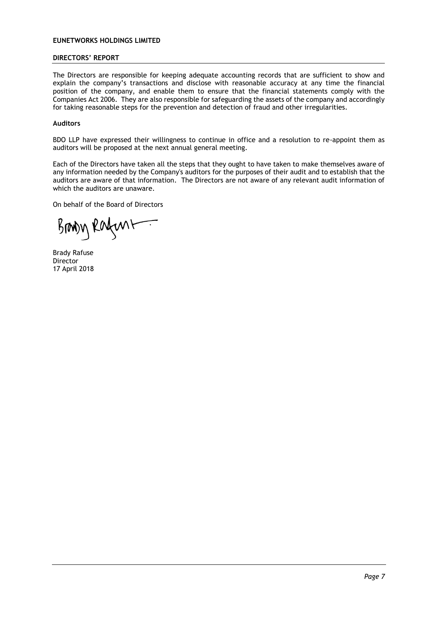#### **DIRECTORS' REPORT**

The Directors are responsible for keeping adequate accounting records that are sufficient to show and explain the company's transactions and disclose with reasonable accuracy at any time the financial position of the company, and enable them to ensure that the financial statements comply with the Companies Act 2006. They are also responsible for safeguarding the assets of the company and accordingly for taking reasonable steps for the prevention and detection of fraud and other irregularities.

### **Auditors**

BDO LLP have expressed their willingness to continue in office and a resolution to re-appoint them as auditors will be proposed at the next annual general meeting.

Each of the Directors have taken all the steps that they ought to have taken to make themselves aware of any information needed by the Company's auditors for the purposes of their audit and to establish that the auditors are aware of that information. The Directors are not aware of any relevant audit information of which the auditors are unaware.

On behalf of the Board of Directors

Brandy Ragunt

Brady Rafuse Director 17 April 2018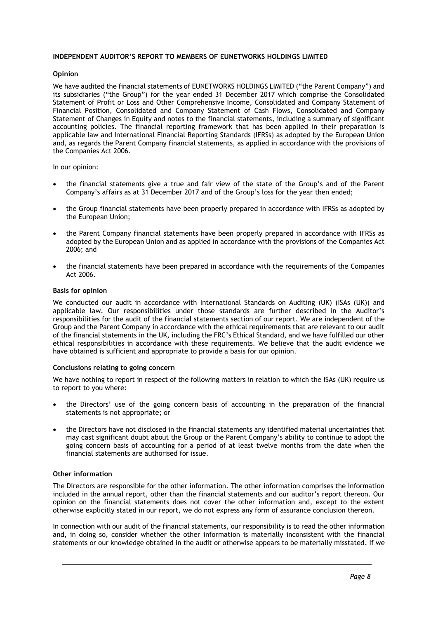### **INDEPENDENT AUDITOR'S REPORT TO MEMBERS OF EUNETWORKS HOLDINGS LIMITED**

### **Opinion**

We have audited the financial statements of EUNETWORKS HOLDINGS LIMITED ("the Parent Company") and its subsidiaries ("the Group") for the year ended 31 December 2017 which comprise the Consolidated Statement of Profit or Loss and Other Comprehensive Income, Consolidated and Company Statement of Financial Position, Consolidated and Company Statement of Cash Flows, Consolidated and Company Statement of Changes in Equity and notes to the financial statements, including a summary of significant accounting policies. The financial reporting framework that has been applied in their preparation is applicable law and International Financial Reporting Standards (IFRSs) as adopted by the European Union and, as regards the Parent Company financial statements, as applied in accordance with the provisions of the Companies Act 2006.

In our opinion:

- the financial statements give a true and fair view of the state of the Group's and of the Parent Company's affairs as at 31 December 2017 and of the Group's loss for the year then ended;
- the Group financial statements have been properly prepared in accordance with IFRSs as adopted by the European Union;
- the Parent Company financial statements have been properly prepared in accordance with IFRSs as adopted by the European Union and as applied in accordance with the provisions of the Companies Act 2006; and
- the financial statements have been prepared in accordance with the requirements of the Companies Act 2006.

#### **Basis for opinion**

We conducted our audit in accordance with International Standards on Auditing (UK) (ISAs (UK)) and applicable law. Our responsibilities under those standards are further described in the Auditor's responsibilities for the audit of the financial statements section of our report. We are independent of the Group and the Parent Company in accordance with the ethical requirements that are relevant to our audit of the financial statements in the UK, including the FRC's Ethical Standard, and we have fulfilled our other ethical responsibilities in accordance with these requirements. We believe that the audit evidence we have obtained is sufficient and appropriate to provide a basis for our opinion.

#### **Conclusions relating to going concern**

We have nothing to report in respect of the following matters in relation to which the ISAs (UK) require us to report to you where:

- the Directors' use of the going concern basis of accounting in the preparation of the financial statements is not appropriate; or
- the Directors have not disclosed in the financial statements any identified material uncertainties that may cast significant doubt about the Group or the Parent Company's ability to continue to adopt the going concern basis of accounting for a period of at least twelve months from the date when the financial statements are authorised for issue.

### **Other information**

The Directors are responsible for the other information. The other information comprises the information included in the annual report, other than the financial statements and our auditor's report thereon. Our opinion on the financial statements does not cover the other information and, except to the extent otherwise explicitly stated in our report, we do not express any form of assurance conclusion thereon.

In connection with our audit of the financial statements, our responsibility is to read the other information and, in doing so, consider whether the other information is materially inconsistent with the financial statements or our knowledge obtained in the audit or otherwise appears to be materially misstated. If we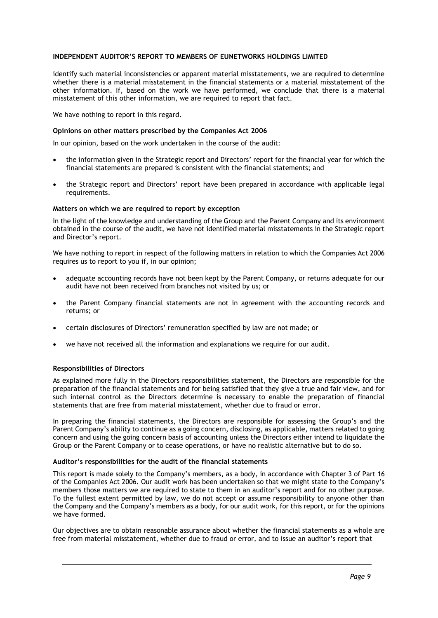### **INDEPENDENT AUDITOR'S REPORT TO MEMBERS OF EUNETWORKS HOLDINGS LIMITED**

identify such material inconsistencies or apparent material misstatements, we are required to determine whether there is a material misstatement in the financial statements or a material misstatement of the other information. If, based on the work we have performed, we conclude that there is a material misstatement of this other information, we are required to report that fact.

We have nothing to report in this regard.

### **Opinions on other matters prescribed by the Companies Act 2006**

In our opinion, based on the work undertaken in the course of the audit:

- the information given in the Strategic report and Directors' report for the financial year for which the financial statements are prepared is consistent with the financial statements; and
- the Strategic report and Directors' report have been prepared in accordance with applicable legal requirements.

#### **Matters on which we are required to report by exception**

In the light of the knowledge and understanding of the Group and the Parent Company and its environment obtained in the course of the audit, we have not identified material misstatements in the Strategic report and Director's report.

We have nothing to report in respect of the following matters in relation to which the Companies Act 2006 requires us to report to you if, in our opinion;

- adequate accounting records have not been kept by the Parent Company, or returns adequate for our audit have not been received from branches not visited by us; or
- the Parent Company financial statements are not in agreement with the accounting records and returns; or
- certain disclosures of Directors' remuneration specified by law are not made; or
- we have not received all the information and explanations we require for our audit.

### **Responsibilities of Directors**

As explained more fully in the Directors responsibilities statement, the Directors are responsible for the preparation of the financial statements and for being satisfied that they give a true and fair view, and for such internal control as the Directors determine is necessary to enable the preparation of financial statements that are free from material misstatement, whether due to fraud or error.

In preparing the financial statements, the Directors are responsible for assessing the Group's and the Parent Company's ability to continue as a going concern, disclosing, as applicable, matters related to going concern and using the going concern basis of accounting unless the Directors either intend to liquidate the Group or the Parent Company or to cease operations, or have no realistic alternative but to do so.

### **Auditor's responsibilities for the audit of the financial statements**

This report is made solely to the Company's members, as a body, in accordance with Chapter 3 of Part 16 of the Companies Act 2006. Our audit work has been undertaken so that we might state to the Company's members those matters we are required to state to them in an auditor's report and for no other purpose. To the fullest extent permitted by law, we do not accept or assume responsibility to anyone other than the Company and the Company's members as a body, for our audit work, for this report, or for the opinions we have formed.

Our objectives are to obtain reasonable assurance about whether the financial statements as a whole are free from material misstatement, whether due to fraud or error, and to issue an auditor's report that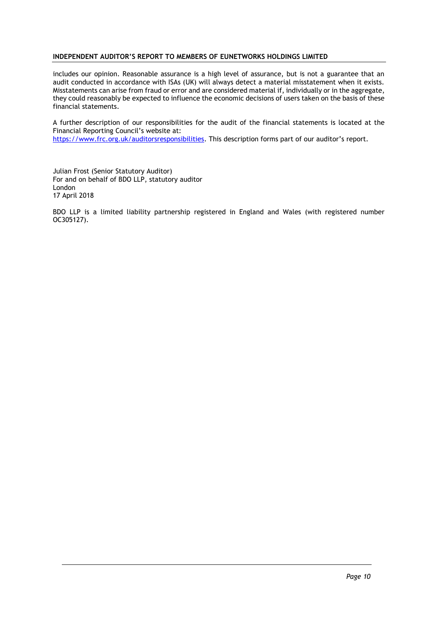### **INDEPENDENT AUDITOR'S REPORT TO MEMBERS OF EUNETWORKS HOLDINGS LIMITED**

includes our opinion. Reasonable assurance is a high level of assurance, but is not a guarantee that an audit conducted in accordance with ISAs (UK) will always detect a material misstatement when it exists. Misstatements can arise from fraud or error and are considered material if, individually or in the aggregate, they could reasonably be expected to influence the economic decisions of users taken on the basis of these financial statements.

A further description of our responsibilities for the audit of the financial statements is located at the Financial Reporting Council's website at:

<https://www.frc.org.uk/auditorsresponsibilities>. This description forms part of our auditor's report.

Julian Frost (Senior Statutory Auditor) For and on behalf of BDO LLP, statutory auditor London 17 April 2018

BDO LLP is a limited liability partnership registered in England and Wales (with registered number OC305127).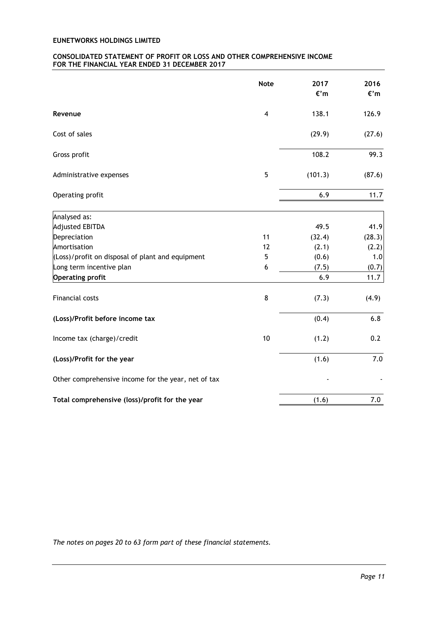# **CONSOLIDATED STATEMENT OF PROFIT OR LOSS AND OTHER COMPREHENSIVE INCOME FOR THE FINANCIAL YEAR ENDED 31 DECEMBER 2017**

|                                                     | <b>Note</b> | 2017<br>€'m | 2016<br>€'m |
|-----------------------------------------------------|-------------|-------------|-------------|
| Revenue                                             | 4           | 138.1       | 126.9       |
| Cost of sales                                       |             | (29.9)      | (27.6)      |
| Gross profit                                        |             | 108.2       | 99.3        |
| Administrative expenses                             | 5           | (101.3)     | (87.6)      |
| Operating profit                                    |             | 6.9         | 11.7        |
| Analysed as:                                        |             |             |             |
| <b>Adjusted EBITDA</b>                              |             | 49.5        | 41.9        |
| Depreciation                                        | 11          | (32.4)      | (28.3)      |
| Amortisation                                        | 12          | (2.1)       | (2.2)       |
| (Loss)/profit on disposal of plant and equipment    | 5           | (0.6)       | 1.0         |
| Long term incentive plan                            | 6           | (7.5)       | (0.7)       |
| <b>Operating profit</b>                             |             | 6.9         | 11.7        |
| Financial costs                                     | 8           | (7.3)       | (4.9)       |
| (Loss)/Profit before income tax                     |             | (0.4)       | 6.8         |
| Income tax (charge)/credit                          | 10          | (1.2)       | 0.2         |
| (Loss)/Profit for the year                          |             | (1.6)       | 7.0         |
| Other comprehensive income for the year, net of tax |             |             |             |
| Total comprehensive (loss)/profit for the year      |             | (1.6)       | 7.0         |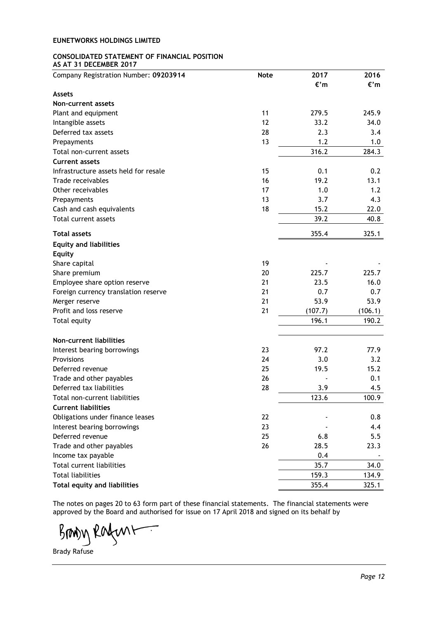### **CONSOLIDATED STATEMENT OF FINANCIAL POSITION AS AT 31 DECEMBER 2017**

| Company Registration Number: 09203914 | <b>Note</b> | 2017    | 2016    |
|---------------------------------------|-------------|---------|---------|
|                                       |             | €'m     | €'m     |
| <b>Assets</b>                         |             |         |         |
| <b>Non-current assets</b>             |             |         |         |
| Plant and equipment                   | 11          | 279.5   | 245.9   |
| Intangible assets                     | 12          | 33.2    | 34.0    |
| Deferred tax assets                   | 28          | 2.3     | 3.4     |
| Prepayments                           | 13          | 1.2     | 1.0     |
| Total non-current assets              |             | 316.2   | 284.3   |
| <b>Current assets</b>                 |             |         |         |
| Infrastructure assets held for resale | 15          | 0.1     | 0.2     |
| Trade receivables                     | 16          | 19.2    | 13.1    |
| Other receivables                     | 17          | 1.0     | 1.2     |
| Prepayments                           | 13          | 3.7     | 4.3     |
| Cash and cash equivalents             | 18          | 15.2    | 22.0    |
| Total current assets                  |             | 39.2    | 40.8    |
| <b>Total assets</b>                   |             | 355.4   | 325.1   |
| <b>Equity and liabilities</b>         |             |         |         |
| <b>Equity</b>                         |             |         |         |
| Share capital                         | 19          |         |         |
| Share premium                         | 20          | 225.7   | 225.7   |
| Employee share option reserve         | 21          | 23.5    | 16.0    |
| Foreign currency translation reserve  | 21          | 0.7     | 0.7     |
| Merger reserve                        | 21          | 53.9    | 53.9    |
| Profit and loss reserve               | 21          | (107.7) | (106.1) |
| Total equity                          |             | 196.1   | 190.2   |
| <b>Non-current liabilities</b>        |             |         |         |
| Interest bearing borrowings           | 23          | 97.2    | 77.9    |
| Provisions                            | 24          | 3.0     | 3.2     |
| Deferred revenue                      | 25          | 19.5    | 15.2    |
| Trade and other payables              | 26          |         | 0.1     |
| Deferred tax liabilities              | 28          | 3.9     | 4.5     |
| Total non-current liabilities         |             | 123.6   | 100.9   |
| <b>Current liabilities</b>            |             |         |         |
| Obligations under finance leases      | 22          |         | 0.8     |
| Interest bearing borrowings           | 23          |         | 4.4     |
| Deferred revenue                      | 25          | 6.8     | 5.5     |
| Trade and other payables              | 26          | 28.5    | 23.3    |
| Income tax payable                    |             | 0.4     |         |
| Total current liabilities             |             | 35.7    | 34.0    |
| <b>Total liabilities</b>              |             | 159.3   | 134.9   |
| <b>Total equity and liabilities</b>   |             | 355.4   | 325.1   |
|                                       |             |         |         |

The notes on pages 20 to 63 form part of these financial statements. The financial statements were approved by the Board and authorised for issue on 17 April 2018 and signed on its behalf by

Brondy Ragunt  $\overline{\cdot}$ 

Brady Rafuse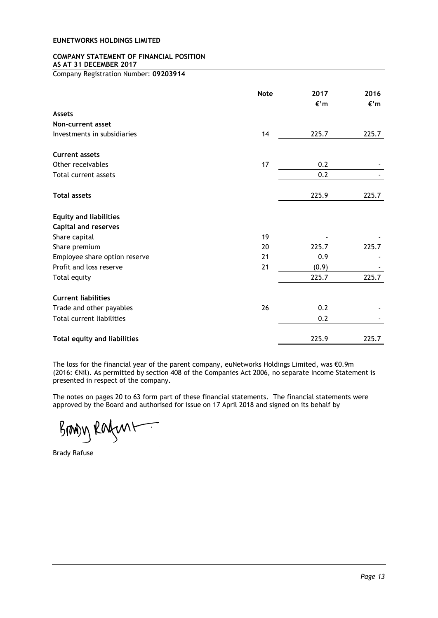### **COMPANY STATEMENT OF FINANCIAL POSITION AS AT 31 DECEMBER 2017**

Company Registration Number: **09203914**

|                               | <b>Note</b> | 2017<br>€'m | 2016<br>€'m |
|-------------------------------|-------------|-------------|-------------|
| Assets                        |             |             |             |
| Non-current asset             |             |             |             |
| Investments in subsidiaries   | 14          | 225.7       | 225.7       |
| <b>Current assets</b>         |             |             |             |
| Other receivables             | 17          | 0.2         |             |
| Total current assets          |             | 0.2         |             |
| <b>Total assets</b>           |             | 225.9       | 225.7       |
| <b>Equity and liabilities</b> |             |             |             |
| <b>Capital and reserves</b>   |             |             |             |
| Share capital                 | 19          |             |             |
| Share premium                 | 20          | 225.7       | 225.7       |
| Employee share option reserve | 21          | 0.9         |             |
| Profit and loss reserve       | 21          | (0.9)       |             |
| Total equity                  |             | 225.7       | 225.7       |
| <b>Current liabilities</b>    |             |             |             |
| Trade and other payables      | 26          | 0.2         |             |
| Total current liabilities     |             | 0.2         |             |
| Total equity and liabilities  |             | 225.9       | 225.7       |

The loss for the financial year of the parent company, euNetworks Holdings Limited, was €0.9m (2016: €Nil). As permitted by section 408 of the Companies Act 2006, no separate Income Statement is presented in respect of the company.

The notes on pages 20 to 63 form part of these financial statements. The financial statements were approved by the Board and authorised for issue on 17 April 2018 and signed on its behalf by

Brandy Ragunt

Brady Rafuse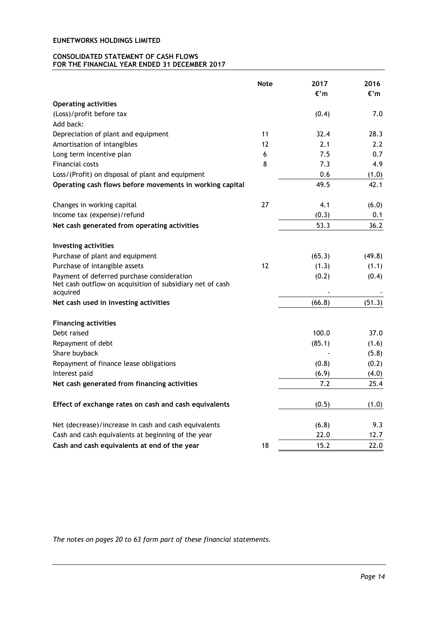### **CONSOLIDATED STATEMENT OF CASH FLOWS FOR THE FINANCIAL YEAR ENDED 31 DECEMBER 2017**

| <b>Operating activities</b><br>(Loss)/profit before tax<br>7.0<br>(0.4)<br>Add back:<br>Depreciation of plant and equipment<br>11<br>32.4<br>28.3<br>Amortisation of intangibles<br>12<br>2.1<br>2.2<br>7.5<br>0.7<br>Long term incentive plan<br>6<br>Financial costs<br>8<br>7.3<br>4.9<br>0.6<br>Loss/(Profit) on disposal of plant and equipment<br>(1.0)<br>49.5<br>Operating cash flows before movements in working capital<br>42.1<br>27<br>4.1<br>Changes in working capital<br>(6.0)<br>Income tax (expense)/refund<br>(0.3)<br>0.1<br>53.3<br>36.2<br>Net cash generated from operating activities<br><b>Investing activities</b><br>(65.3)<br>(49.8)<br>Purchase of plant and equipment<br>12<br>Purchase of intangible assets<br>(1.3)<br>(1.1)<br>Payment of deferred purchase consideration<br>(0.2)<br>(0.4)<br>Net cash outflow on acquisition of subsidiary net of cash<br>acquired<br>(66.8)<br>(51.3)<br>Net cash used in investing activities<br><b>Financing activities</b><br>100.0<br>Debt raised<br>37.0<br>(85.1)<br>Repayment of debt<br>(1.6)<br>Share buyback<br>(5.8)<br>(0.8)<br>(0.2)<br>Repayment of finance lease obligations<br>(6.9)<br>Interest paid<br>(4.0)<br>7.2<br>Net cash generated from financing activities<br>25.4<br>Effect of exchange rates on cash and cash equivalents<br>(0.5)<br>(1.0)<br>(6.8)<br>9.3<br>Net (decrease)/increase in cash and cash equivalents<br>22.0<br>12.7<br>Cash and cash equivalents at beginning of the year<br>Cash and cash equivalents at end of the year<br>18<br>15.2<br>22.0 | <b>Note</b> | 2017 | 2016 |
|-----------------------------------------------------------------------------------------------------------------------------------------------------------------------------------------------------------------------------------------------------------------------------------------------------------------------------------------------------------------------------------------------------------------------------------------------------------------------------------------------------------------------------------------------------------------------------------------------------------------------------------------------------------------------------------------------------------------------------------------------------------------------------------------------------------------------------------------------------------------------------------------------------------------------------------------------------------------------------------------------------------------------------------------------------------------------------------------------------------------------------------------------------------------------------------------------------------------------------------------------------------------------------------------------------------------------------------------------------------------------------------------------------------------------------------------------------------------------------------------------------------------------------------------------------------------|-------------|------|------|
|                                                                                                                                                                                                                                                                                                                                                                                                                                                                                                                                                                                                                                                                                                                                                                                                                                                                                                                                                                                                                                                                                                                                                                                                                                                                                                                                                                                                                                                                                                                                                                 |             | €'m  | €'m  |
|                                                                                                                                                                                                                                                                                                                                                                                                                                                                                                                                                                                                                                                                                                                                                                                                                                                                                                                                                                                                                                                                                                                                                                                                                                                                                                                                                                                                                                                                                                                                                                 |             |      |      |
|                                                                                                                                                                                                                                                                                                                                                                                                                                                                                                                                                                                                                                                                                                                                                                                                                                                                                                                                                                                                                                                                                                                                                                                                                                                                                                                                                                                                                                                                                                                                                                 |             |      |      |
|                                                                                                                                                                                                                                                                                                                                                                                                                                                                                                                                                                                                                                                                                                                                                                                                                                                                                                                                                                                                                                                                                                                                                                                                                                                                                                                                                                                                                                                                                                                                                                 |             |      |      |
|                                                                                                                                                                                                                                                                                                                                                                                                                                                                                                                                                                                                                                                                                                                                                                                                                                                                                                                                                                                                                                                                                                                                                                                                                                                                                                                                                                                                                                                                                                                                                                 |             |      |      |
|                                                                                                                                                                                                                                                                                                                                                                                                                                                                                                                                                                                                                                                                                                                                                                                                                                                                                                                                                                                                                                                                                                                                                                                                                                                                                                                                                                                                                                                                                                                                                                 |             |      |      |
|                                                                                                                                                                                                                                                                                                                                                                                                                                                                                                                                                                                                                                                                                                                                                                                                                                                                                                                                                                                                                                                                                                                                                                                                                                                                                                                                                                                                                                                                                                                                                                 |             |      |      |
|                                                                                                                                                                                                                                                                                                                                                                                                                                                                                                                                                                                                                                                                                                                                                                                                                                                                                                                                                                                                                                                                                                                                                                                                                                                                                                                                                                                                                                                                                                                                                                 |             |      |      |
|                                                                                                                                                                                                                                                                                                                                                                                                                                                                                                                                                                                                                                                                                                                                                                                                                                                                                                                                                                                                                                                                                                                                                                                                                                                                                                                                                                                                                                                                                                                                                                 |             |      |      |
|                                                                                                                                                                                                                                                                                                                                                                                                                                                                                                                                                                                                                                                                                                                                                                                                                                                                                                                                                                                                                                                                                                                                                                                                                                                                                                                                                                                                                                                                                                                                                                 |             |      |      |
|                                                                                                                                                                                                                                                                                                                                                                                                                                                                                                                                                                                                                                                                                                                                                                                                                                                                                                                                                                                                                                                                                                                                                                                                                                                                                                                                                                                                                                                                                                                                                                 |             |      |      |
|                                                                                                                                                                                                                                                                                                                                                                                                                                                                                                                                                                                                                                                                                                                                                                                                                                                                                                                                                                                                                                                                                                                                                                                                                                                                                                                                                                                                                                                                                                                                                                 |             |      |      |
|                                                                                                                                                                                                                                                                                                                                                                                                                                                                                                                                                                                                                                                                                                                                                                                                                                                                                                                                                                                                                                                                                                                                                                                                                                                                                                                                                                                                                                                                                                                                                                 |             |      |      |
|                                                                                                                                                                                                                                                                                                                                                                                                                                                                                                                                                                                                                                                                                                                                                                                                                                                                                                                                                                                                                                                                                                                                                                                                                                                                                                                                                                                                                                                                                                                                                                 |             |      |      |
|                                                                                                                                                                                                                                                                                                                                                                                                                                                                                                                                                                                                                                                                                                                                                                                                                                                                                                                                                                                                                                                                                                                                                                                                                                                                                                                                                                                                                                                                                                                                                                 |             |      |      |
|                                                                                                                                                                                                                                                                                                                                                                                                                                                                                                                                                                                                                                                                                                                                                                                                                                                                                                                                                                                                                                                                                                                                                                                                                                                                                                                                                                                                                                                                                                                                                                 |             |      |      |
|                                                                                                                                                                                                                                                                                                                                                                                                                                                                                                                                                                                                                                                                                                                                                                                                                                                                                                                                                                                                                                                                                                                                                                                                                                                                                                                                                                                                                                                                                                                                                                 |             |      |      |
|                                                                                                                                                                                                                                                                                                                                                                                                                                                                                                                                                                                                                                                                                                                                                                                                                                                                                                                                                                                                                                                                                                                                                                                                                                                                                                                                                                                                                                                                                                                                                                 |             |      |      |
|                                                                                                                                                                                                                                                                                                                                                                                                                                                                                                                                                                                                                                                                                                                                                                                                                                                                                                                                                                                                                                                                                                                                                                                                                                                                                                                                                                                                                                                                                                                                                                 |             |      |      |
|                                                                                                                                                                                                                                                                                                                                                                                                                                                                                                                                                                                                                                                                                                                                                                                                                                                                                                                                                                                                                                                                                                                                                                                                                                                                                                                                                                                                                                                                                                                                                                 |             |      |      |
|                                                                                                                                                                                                                                                                                                                                                                                                                                                                                                                                                                                                                                                                                                                                                                                                                                                                                                                                                                                                                                                                                                                                                                                                                                                                                                                                                                                                                                                                                                                                                                 |             |      |      |
|                                                                                                                                                                                                                                                                                                                                                                                                                                                                                                                                                                                                                                                                                                                                                                                                                                                                                                                                                                                                                                                                                                                                                                                                                                                                                                                                                                                                                                                                                                                                                                 |             |      |      |
|                                                                                                                                                                                                                                                                                                                                                                                                                                                                                                                                                                                                                                                                                                                                                                                                                                                                                                                                                                                                                                                                                                                                                                                                                                                                                                                                                                                                                                                                                                                                                                 |             |      |      |
|                                                                                                                                                                                                                                                                                                                                                                                                                                                                                                                                                                                                                                                                                                                                                                                                                                                                                                                                                                                                                                                                                                                                                                                                                                                                                                                                                                                                                                                                                                                                                                 |             |      |      |
|                                                                                                                                                                                                                                                                                                                                                                                                                                                                                                                                                                                                                                                                                                                                                                                                                                                                                                                                                                                                                                                                                                                                                                                                                                                                                                                                                                                                                                                                                                                                                                 |             |      |      |
|                                                                                                                                                                                                                                                                                                                                                                                                                                                                                                                                                                                                                                                                                                                                                                                                                                                                                                                                                                                                                                                                                                                                                                                                                                                                                                                                                                                                                                                                                                                                                                 |             |      |      |
|                                                                                                                                                                                                                                                                                                                                                                                                                                                                                                                                                                                                                                                                                                                                                                                                                                                                                                                                                                                                                                                                                                                                                                                                                                                                                                                                                                                                                                                                                                                                                                 |             |      |      |
|                                                                                                                                                                                                                                                                                                                                                                                                                                                                                                                                                                                                                                                                                                                                                                                                                                                                                                                                                                                                                                                                                                                                                                                                                                                                                                                                                                                                                                                                                                                                                                 |             |      |      |
|                                                                                                                                                                                                                                                                                                                                                                                                                                                                                                                                                                                                                                                                                                                                                                                                                                                                                                                                                                                                                                                                                                                                                                                                                                                                                                                                                                                                                                                                                                                                                                 |             |      |      |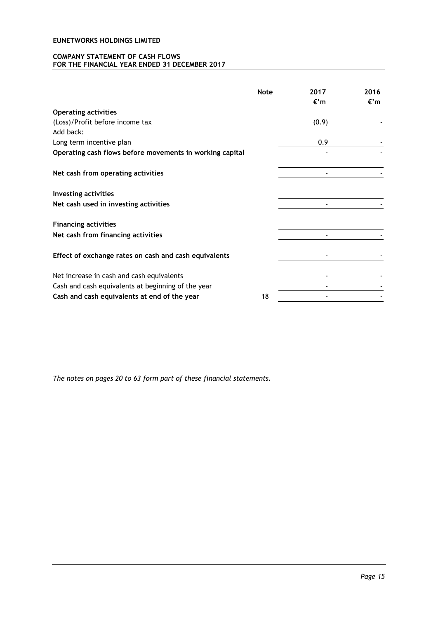### **COMPANY STATEMENT OF CASH FLOWS FOR THE FINANCIAL YEAR ENDED 31 DECEMBER 2017**

|                                                          | <b>Note</b> | 2017<br>€'m | 2016<br>€'m |
|----------------------------------------------------------|-------------|-------------|-------------|
| <b>Operating activities</b>                              |             |             |             |
| (Loss)/Profit before income tax                          |             | (0.9)       |             |
| Add back:                                                |             |             |             |
| Long term incentive plan                                 |             | 0.9         |             |
| Operating cash flows before movements in working capital |             |             |             |
| Net cash from operating activities                       |             |             |             |
| <b>Investing activities</b>                              |             |             |             |
| Net cash used in investing activities                    |             |             |             |
| <b>Financing activities</b>                              |             |             |             |
| Net cash from financing activities                       |             |             |             |
| Effect of exchange rates on cash and cash equivalents    |             |             |             |
| Net increase in cash and cash equivalents                |             |             |             |
| Cash and cash equivalents at beginning of the year       |             |             |             |
| Cash and cash equivalents at end of the year             | 18          |             |             |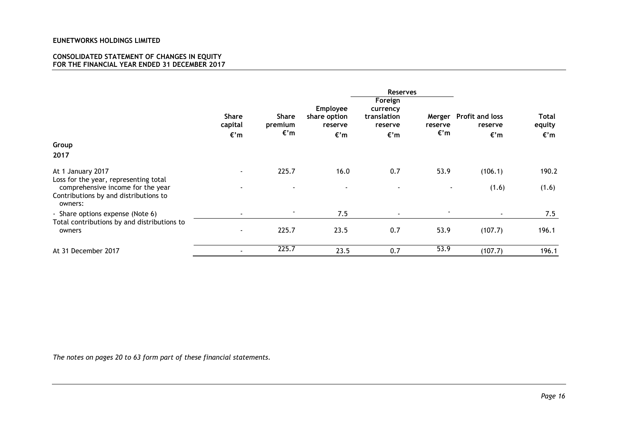### **CONSOLIDATED STATEMENT OF CHANGES IN EQUITY FOR THE FINANCIAL YEAR ENDED 31 DECEMBER 2017**

| Group<br>2017                                                                                                                  | <b>Share</b><br>capital<br>€'m | <b>Share</b><br>premium<br>€'m | Employee<br>share option<br>reserve<br>€'m | <b>Reserves</b><br>Foreign<br>currency<br>translation<br>reserve<br>€'m | Merger<br>reserve<br>€'m | Profit and loss<br>reserve<br>€'m | <b>Total</b><br>equity<br>€'m |
|--------------------------------------------------------------------------------------------------------------------------------|--------------------------------|--------------------------------|--------------------------------------------|-------------------------------------------------------------------------|--------------------------|-----------------------------------|-------------------------------|
| At 1 January 2017                                                                                                              |                                | 225.7                          | 16.0                                       | 0.7                                                                     | 53.9                     | (106.1)                           | 190.2                         |
| Loss for the year, representing total<br>comprehensive income for the year<br>Contributions by and distributions to<br>owners: |                                |                                | $\blacksquare$                             |                                                                         |                          | (1.6)                             | (1.6)                         |
| - Share options expense (Note 6)                                                                                               |                                | $\overline{\phantom{a}}$       | 7.5                                        | $\blacksquare$                                                          | $\overline{\phantom{a}}$ |                                   | 7.5                           |
| Total contributions by and distributions to<br>owners                                                                          |                                | 225.7                          | 23.5                                       | 0.7                                                                     | 53.9                     | (107.7)                           | 196.1                         |
| At 31 December 2017                                                                                                            |                                | 225.7                          | 23.5                                       | 0.7                                                                     | 53.9                     | (107.7)                           | 196.1                         |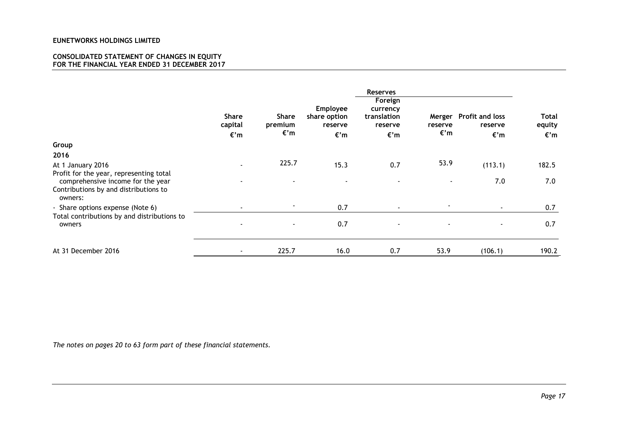### **CONSOLIDATED STATEMENT OF CHANGES IN EQUITY FOR THE FINANCIAL YEAR ENDED 31 DECEMBER 2017**

|                                                                                                                       |                                |                                |                                            | <b>Reserves</b>                                      |                          |                                   |                               |
|-----------------------------------------------------------------------------------------------------------------------|--------------------------------|--------------------------------|--------------------------------------------|------------------------------------------------------|--------------------------|-----------------------------------|-------------------------------|
|                                                                                                                       | <b>Share</b><br>capital<br>€'m | <b>Share</b><br>premium<br>€'m | Employee<br>share option<br>reserve<br>€'m | Foreign<br>currency<br>translation<br>reserve<br>€'m | Merger<br>reserve<br>€'m | Profit and loss<br>reserve<br>€'m | <b>Total</b><br>equity<br>€'m |
| Group                                                                                                                 |                                |                                |                                            |                                                      |                          |                                   |                               |
| 2016                                                                                                                  |                                |                                |                                            |                                                      |                          |                                   |                               |
| At 1 January 2016                                                                                                     |                                | 225.7                          | 15.3                                       | 0.7                                                  | 53.9                     | (113.1)                           | 182.5                         |
| Profit for the year, representing total<br>comprehensive income for the year<br>Contributions by and distributions to |                                |                                |                                            |                                                      | $\overline{\phantom{a}}$ | 7.0                               | 7.0                           |
| owners:                                                                                                               |                                |                                |                                            |                                                      | $\overline{\phantom{a}}$ |                                   |                               |
| - Share options expense (Note 6)<br>Total contributions by and distributions to                                       | $\sim$                         |                                | 0.7                                        | $\blacksquare$                                       |                          | $\blacksquare$                    | 0.7                           |
| owners                                                                                                                |                                |                                | 0.7                                        |                                                      | $\overline{\phantom{a}}$ |                                   | 0.7                           |
| At 31 December 2016                                                                                                   |                                | 225.7                          | 16.0                                       | 0.7                                                  | 53.9                     | (106.1)                           | 190.2                         |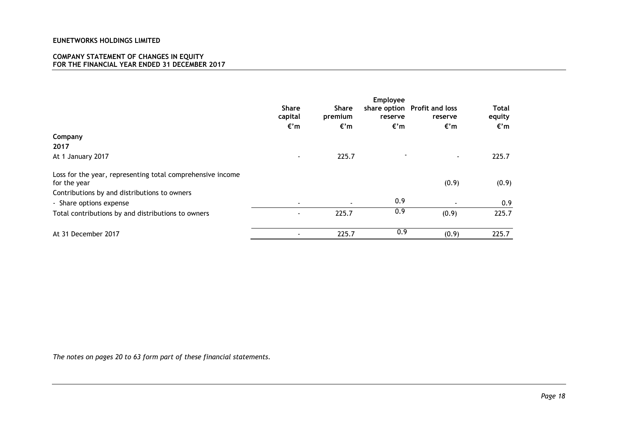### **COMPANY STATEMENT OF CHANGES IN EQUITY FOR THE FINANCIAL YEAR ENDED 31 DECEMBER 2017**

|                                                                            | <b>Share</b><br>capital<br>€'m | Share<br>premium<br>€'m | Employee<br>reserve<br>€'m | share option Profit and loss<br>reserve<br>€'m | <b>Total</b><br>equity<br>€'m |
|----------------------------------------------------------------------------|--------------------------------|-------------------------|----------------------------|------------------------------------------------|-------------------------------|
| Company                                                                    |                                |                         |                            |                                                |                               |
| 2017                                                                       |                                |                         |                            |                                                |                               |
| At 1 January 2017                                                          |                                | 225.7                   | $\blacksquare$             | $\overline{\phantom{a}}$                       | 225.7                         |
| Loss for the year, representing total comprehensive income<br>for the year |                                |                         |                            | (0.9)                                          | (0.9)                         |
| Contributions by and distributions to owners<br>- Share options expense    |                                |                         | 0.9                        |                                                | 0.9                           |
| Total contributions by and distributions to owners                         |                                | 225.7                   | 0.9                        | (0.9)                                          | 225.7                         |
| At 31 December 2017                                                        |                                | 225.7                   | 0.9                        | (0.9)                                          | 225.7                         |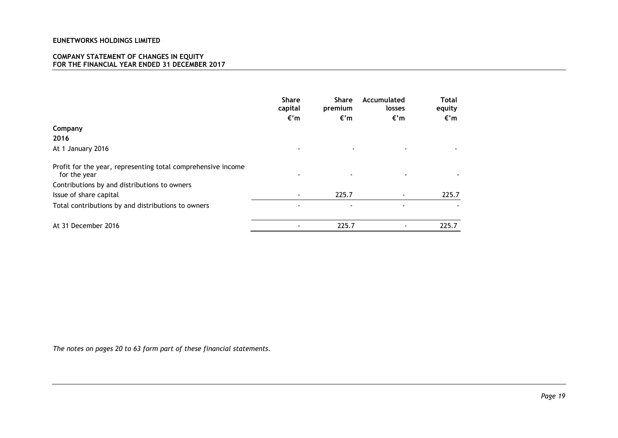### **COMPANY STATEMENT OF CHANGES IN EQUITY FOR THE FINANCIAL YEAR ENDED 31 DECEMBER 2017**

|                                                                              | <b>Share</b><br>capital<br>€'m | Share<br>premium<br>€'m  | Accumulated<br>losses<br>€'m | Total<br>equity<br>€'m |
|------------------------------------------------------------------------------|--------------------------------|--------------------------|------------------------------|------------------------|
| Company                                                                      |                                |                          |                              |                        |
| 2016                                                                         |                                |                          |                              |                        |
| At 1 January 2016                                                            | $\overline{\phantom{a}}$       | $\overline{\phantom{a}}$ |                              |                        |
| Profit for the year, representing total comprehensive income<br>for the year |                                |                          |                              |                        |
| Contributions by and distributions to owners                                 |                                |                          |                              |                        |
| Issue of share capital                                                       |                                | 225.7                    |                              | 225.7                  |
| Total contributions by and distributions to owners                           |                                |                          |                              |                        |
| At 31 December 2016                                                          |                                | 225.7                    |                              | 225.7                  |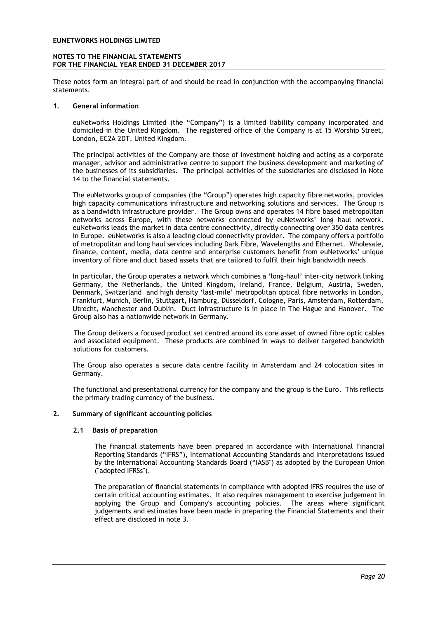### **NOTES TO THE FINANCIAL STATEMENTS FOR THE FINANCIAL YEAR ENDED 31 DECEMBER 2017**

These notes form an integral part of and should be read in conjunction with the accompanying financial statements.

### **1. General information**

euNetworks Holdings Limited (the "Company") is a limited liability company incorporated and domiciled in the United Kingdom. The registered office of the Company is at 15 Worship Street, London, EC2A 2DT, United Kingdom.

The principal activities of the Company are those of investment holding and acting as a corporate manager, advisor and administrative centre to support the business development and marketing of the businesses of its subsidiaries. The principal activities of the subsidiaries are disclosed in Note 14 to the financial statements.

The euNetworks group of companies (the "Group") operates high capacity fibre networks, provides high capacity communications infrastructure and networking solutions and services. The Group is as a bandwidth infrastructure provider. The Group owns and operates 14 fibre based metropolitan networks across Europe, with these networks connected by euNetworks' long haul network. euNetworks leads the market in data centre connectivity, directly connecting over 350 data centres in Europe. euNetworks is also a leading cloud connectivity provider. The company offers a portfolio of metropolitan and long haul services including Dark Fibre, Wavelengths and Ethernet. Wholesale, finance, content, media, data centre and enterprise customers benefit from euNetworks' unique inventory of fibre and duct based assets that are tailored to fulfil their high bandwidth needs

In particular, the Group operates a network which combines a 'long-haul' inter-city network linking Germany, the Netherlands, the United Kingdom, Ireland, France, Belgium, Austria, Sweden, Denmark, Switzerland and high density 'last-mile' metropolitan optical fibre networks in London, Frankfurt, Munich, Berlin, Stuttgart, Hamburg, Düsseldorf, Cologne, Paris, Amsterdam, Rotterdam, Utrecht, Manchester and Dublin. Duct infrastructure is in place in The Hague and Hanover. The Group also has a nationwide network in Germany.

The Group delivers a focused product set centred around its core asset of owned fibre optic cables and associated equipment. These products are combined in ways to deliver targeted bandwidth solutions for customers.

The Group also operates a secure data centre facility in Amsterdam and 24 colocation sites in Germany.

The functional and presentational currency for the company and the group is the Euro. This reflects the primary trading currency of the business.

### **2. Summary of significant accounting policies**

### **2.1 Basis of preparation**

The financial statements have been prepared in accordance with International Financial Reporting Standards ("IFRS"), International Accounting Standards and Interpretations issued by the International Accounting Standards Board ("IASB") as adopted by the European Union ("adopted IFRSs").

The preparation of financial statements in compliance with adopted IFRS requires the use of certain critical accounting estimates. It also requires management to exercise judgement in applying the Group and Company's accounting policies. The areas where significant judgements and estimates have been made in preparing the Financial Statements and their effect are disclosed in note 3.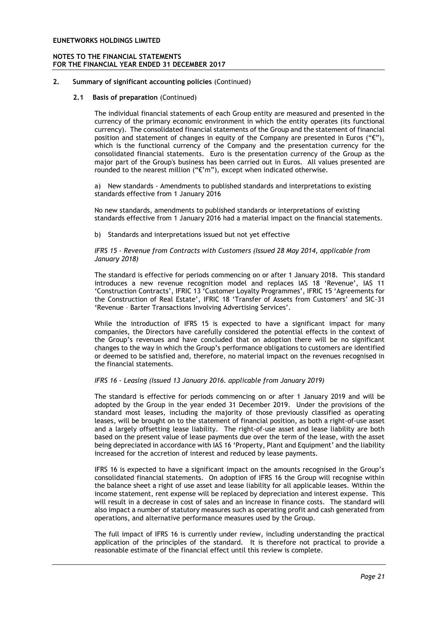### **NOTES TO THE FINANCIAL STATEMENTS FOR THE FINANCIAL YEAR ENDED 31 DECEMBER 2017**

#### **2. Summary of significant accounting policies** (Continued)

### **2.1 Basis of preparation** (Continued)

The individual financial statements of each Group entity are measured and presented in the currency of the primary economic environment in which the entity operates (its functional currency). The consolidated financial statements of the Group and the statement of financial position and statement of changes in equity of the Company are presented in Euros (" $\epsilon$ "), which is the functional currency of the Company and the presentation currency for the consolidated financial statements. Euro is the presentation currency of the Group as the major part of the Group's business has been carried out in Euros. All values presented are rounded to the nearest million (" $\varepsilon$ 'm"), except when indicated otherwise.

a) New standards - Amendments to published standards and interpretations to existing standards effective from 1 January 2016

No new standards, amendments to published standards or interpretations of existing standards effective from 1 January 2016 had a material impact on the financial statements.

b) Standards and interpretations issued but not yet effective

### *IFRS 15 - Revenue from Contracts with Customers (Issued 28 May 2014, applicable from January 2018)*

The standard is effective for periods commencing on or after 1 January 2018. This standard introduces a new revenue recognition model and replaces IAS 18 'Revenue', IAS 11 'Construction Contracts', IFRIC 13 'Customer Loyalty Programmes', IFRIC 15 'Agreements for the Construction of Real Estate', IFRIC 18 'Transfer of Assets from Customers' and SIC-31 'Revenue – Barter Transactions Involving Advertising Services'.

While the introduction of IFRS 15 is expected to have a significant impact for many companies, the Directors have carefully considered the potential effects in the context of the Group's revenues and have concluded that on adoption there will be no significant changes to the way in which the Group's performance obligations to customers are identified or deemed to be satisfied and, therefore, no material impact on the revenues recognised in the financial statements.

#### *IFRS 16 - Leasing (Issued 13 January 2016. applicable from January 2019)*

The standard is effective for periods commencing on or after 1 January 2019 and will be adopted by the Group in the year ended 31 December 2019. Under the provisions of the standard most leases, including the majority of those previously classified as operating leases, will be brought on to the statement of financial position, as both a right-of-use asset and a largely offsetting lease liability. The right-of-use asset and lease liability are both based on the present value of lease payments due over the term of the lease, with the asset being depreciated in accordance with IAS 16 'Property, Plant and Equipment' and the liability increased for the accretion of interest and reduced by lease payments.

IFRS 16 is expected to have a significant impact on the amounts recognised in the Group's consolidated financial statements. On adoption of IFRS 16 the Group will recognise within the balance sheet a right of use asset and lease liability for all applicable leases. Within the income statement, rent expense will be replaced by depreciation and interest expense. This will result in a decrease in cost of sales and an increase in finance costs. The standard will also impact a number of statutory measures such as operating profit and cash generated from operations, and alternative performance measures used by the Group.

The full impact of IFRS 16 is currently under review, including understanding the practical application of the principles of the standard. It is therefore not practical to provide a reasonable estimate of the financial effect until this review is complete.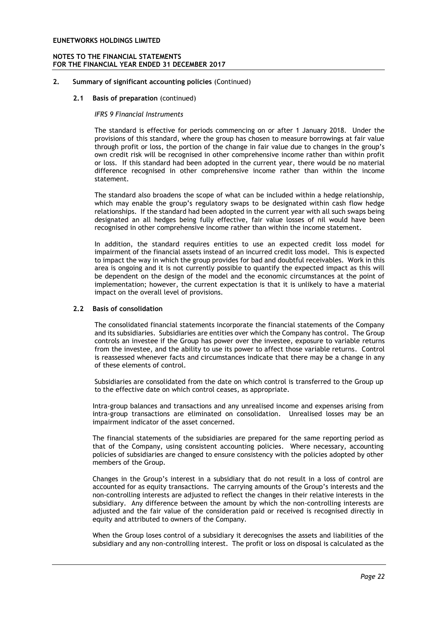### **NOTES TO THE FINANCIAL STATEMENTS FOR THE FINANCIAL YEAR ENDED 31 DECEMBER 2017**

#### **2. Summary of significant accounting policies** (Continued)

#### **2.1 Basis of preparation** (continued)

#### *IFRS 9 Financial Instruments*

The standard is effective for periods commencing on or after 1 January 2018. Under the provisions of this standard, where the group has chosen to measure borrowings at fair value through profit or loss, the portion of the change in fair value due to changes in the group's own credit risk will be recognised in other comprehensive income rather than within profit or loss. If this standard had been adopted in the current year, there would be no material difference recognised in other comprehensive income rather than within the income statement.

The standard also broadens the scope of what can be included within a hedge relationship, which may enable the group's regulatory swaps to be designated within cash flow hedge relationships. If the standard had been adopted in the current year with all such swaps being designated an all hedges being fully effective, fair value losses of nil would have been recognised in other comprehensive income rather than within the income statement.

In addition, the standard requires entities to use an expected credit loss model for impairment of the financial assets instead of an incurred credit loss model. This is expected to impact the way in which the group provides for bad and doubtful receivables. Work in this area is ongoing and it is not currently possible to quantify the expected impact as this will be dependent on the design of the model and the economic circumstances at the point of implementation; however, the current expectation is that it is unlikely to have a material impact on the overall level of provisions.

#### **2.2 Basis of consolidation**

The consolidated financial statements incorporate the financial statements of the Company and its subsidiaries. Subsidiaries are entities over which the Company has control. The Group controls an investee if the Group has power over the investee, exposure to variable returns from the investee, and the ability to use its power to affect those variable returns. Control is reassessed whenever facts and circumstances indicate that there may be a change in any of these elements of control.

Subsidiaries are consolidated from the date on which control is transferred to the Group up to the effective date on which control ceases, as appropriate.

Intra-group balances and transactions and any unrealised income and expenses arising from intra-group transactions are eliminated on consolidation. Unrealised losses may be an impairment indicator of the asset concerned.

The financial statements of the subsidiaries are prepared for the same reporting period as that of the Company, using consistent accounting policies. Where necessary, accounting policies of subsidiaries are changed to ensure consistency with the policies adopted by other members of the Group.

Changes in the Group's interest in a subsidiary that do not result in a loss of control are accounted for as equity transactions. The carrying amounts of the Group's interests and the non-controlling interests are adjusted to reflect the changes in their relative interests in the subsidiary. Any difference between the amount by which the non-controlling interests are adjusted and the fair value of the consideration paid or received is recognised directly in equity and attributed to owners of the Company.

When the Group loses control of a subsidiary it derecognises the assets and liabilities of the subsidiary and any non-controlling interest. The profit or loss on disposal is calculated as the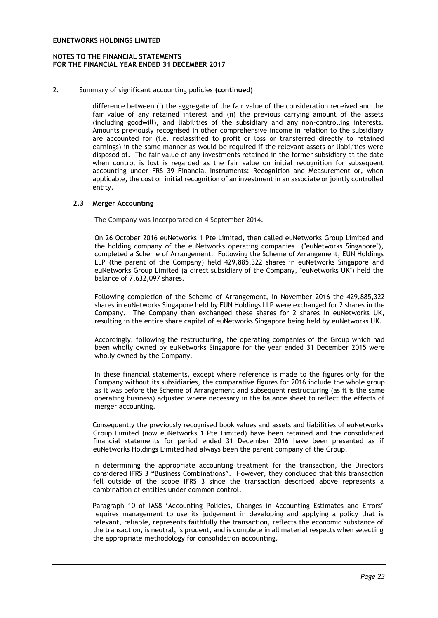### **NOTES TO THE FINANCIAL STATEMENTS FOR THE FINANCIAL YEAR ENDED 31 DECEMBER 2017**

## 2. Summary of significant accounting policies **(continued)**

difference between (i) the aggregate of the fair value of the consideration received and the fair value of any retained interest and (ii) the previous carrying amount of the assets (including goodwill), and liabilities of the subsidiary and any non-controlling interests. Amounts previously recognised in other comprehensive income in relation to the subsidiary are accounted for (i.e. reclassified to profit or loss or transferred directly to retained earnings) in the same manner as would be required if the relevant assets or liabilities were disposed of. The fair value of any investments retained in the former subsidiary at the date when control is lost is regarded as the fair value on initial recognition for subsequent accounting under FRS 39 Financial Instruments: Recognition and Measurement or, when applicable, the cost on initial recognition of an investment in an associate or jointly controlled entity.

### **2.3 Merger Accounting**

The Company was incorporated on 4 September 2014.

On 26 October 2016 euNetworks 1 Pte Limited, then called euNetworks Group Limited and the holding company of the euNetworks operating companies ("euNetworks Singapore"), completed a Scheme of Arrangement. Following the Scheme of Arrangement, EUN Holdings LLP (the parent of the Company) held 429,885,322 shares in euNetworks Singapore and euNetworks Group Limited (a direct subsidiary of the Company, "euNetworks UK") held the balance of 7,632,097 shares.

Following completion of the Scheme of Arrangement, in November 2016 the 429,885,322 shares in euNetworks Singapore held by EUN Holdings LLP were exchanged for 2 shares in the Company. The Company then exchanged these shares for 2 shares in euNetworks UK, resulting in the entire share capital of euNetworks Singapore being held by euNetworks UK.

Accordingly, following the restructuring, the operating companies of the Group which had been wholly owned by euNetworks Singapore for the year ended 31 December 2015 were wholly owned by the Company.

In these financial statements, except where reference is made to the figures only for the Company without its subsidiaries, the comparative figures for 2016 include the whole group as it was before the Scheme of Arrangement and subsequent restructuring (as it is the same operating business) adjusted where necessary in the balance sheet to reflect the effects of merger accounting.

Consequently the previously recognised book values and assets and liabilities of euNetworks Group Limited (now euNetworks 1 Pte Limited) have been retained and the consolidated financial statements for period ended 31 December 2016 have been presented as if euNetworks Holdings Limited had always been the parent company of the Group.

In determining the appropriate accounting treatment for the transaction, the Directors considered IFRS 3 "Business Combinations". However, they concluded that this transaction fell outside of the scope IFRS 3 since the transaction described above represents a combination of entities under common control.

Paragraph 10 of IAS8 'Accounting Policies, Changes in Accounting Estimates and Errors' requires management to use its judgement in developing and applying a policy that is relevant, reliable, represents faithfully the transaction, reflects the economic substance of the transaction, is neutral, is prudent, and is complete in all material respects when selecting the appropriate methodology for consolidation accounting.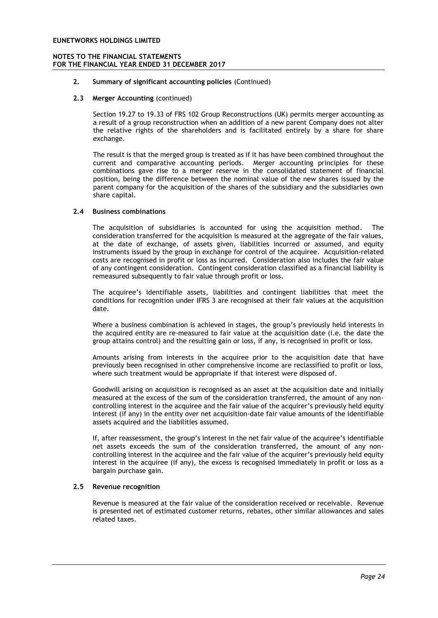#### **2. Summary of significant accounting policies** (Continued)

#### **2.3 Merger Accounting** (continued)

Section 19.27 to 19.33 of FRS 102 Group Reconstructions (UK) permits merger accounting as a result of a group reconstruction when an addition of a new parent Company does not alter the relative rights of the shareholders and is facilitated entirely by a share for share exchange.

The result is that the merged group is treated as if it has have been combined throughout the current and comparative accounting periods. Merger accounting principles for these combinations gave rise to a merger reserve in the consolidated statement of financial position, being the difference between the nominal value of the new shares issued by the parent company for the acquisition of the shares of the subsidiary and the subsidiaries own share capital.

### **2.4 Business combinations**

The acquisition of subsidiaries is accounted for using the acquisition method. The consideration transferred for the acquisition is measured at the aggregate of the fair values, at the date of exchange, of assets given, liabilities incurred or assumed, and equity instruments issued by the group in exchange for control of the acquiree. Acquisition-related costs are recognised in profit or loss as incurred. Consideration also includes the fair value of any contingent consideration. Contingent consideration classified as a financial liability is remeasured subsequently to fair value through profit or loss.

The acquiree's identifiable assets, liabilities and contingent liabilities that meet the conditions for recognition under IFRS 3 are recognised at their fair values at the acquisition date.

Where a business combination is achieved in stages, the group's previously held interests in the acquired entity are re-measured to fair value at the acquisition date (i.e. the date the group attains control) and the resulting gain or loss, if any, is recognised in profit or loss.

Amounts arising from interests in the acquiree prior to the acquisition date that have previously been recognised in other comprehensive income are reclassified to profit or loss, where such treatment would be appropriate if that interest were disposed of.

Goodwill arising on acquisition is recognised as an asset at the acquisition date and initially measured at the excess of the sum of the consideration transferred, the amount of any noncontrolling interest in the acquiree and the fair value of the acquirer's previously held equity interest (if any) in the entity over net acquisition-date fair value amounts of the identifiable assets acquired and the liabilities assumed.

If, after reassessment, the group's interest in the net fair value of the acquiree's identifiable net assets exceeds the sum of the consideration transferred, the amount of any noncontrolling interest in the acquiree and the fair value of the acquirer's previously held equity interest in the acquiree (if any), the excess is recognised immediately in profit or loss as a bargain purchase gain.

#### **2.5 Revenue recognition**

Revenue is measured at the fair value of the consideration received or receivable. Revenue is presented net of estimated customer returns, rebates, other similar allowances and sales related taxes.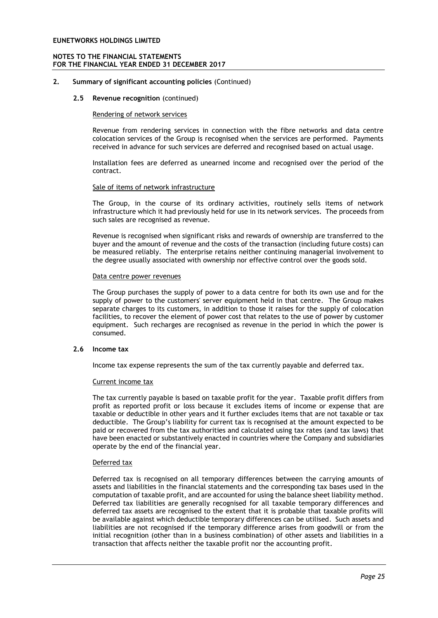### **NOTES TO THE FINANCIAL STATEMENTS FOR THE FINANCIAL YEAR ENDED 31 DECEMBER 2017**

#### **2. Summary of significant accounting policies** (Continued)

#### **2.5 Revenue recognition** (continued)

#### Rendering of network services

Revenue from rendering services in connection with the fibre networks and data centre colocation services of the Group is recognised when the services are performed. Payments received in advance for such services are deferred and recognised based on actual usage.

Installation fees are deferred as unearned income and recognised over the period of the contract.

#### Sale of items of network infrastructure

The Group, in the course of its ordinary activities, routinely sells items of network infrastructure which it had previously held for use in its network services. The proceeds from such sales are recognised as revenue.

Revenue is recognised when significant risks and rewards of ownership are transferred to the buyer and the amount of revenue and the costs of the transaction (including future costs) can be measured reliably. The enterprise retains neither continuing managerial involvement to the degree usually associated with ownership nor effective control over the goods sold.

### Data centre power revenues

The Group purchases the supply of power to a data centre for both its own use and for the supply of power to the customers' server equipment held in that centre. The Group makes separate charges to its customers, in addition to those it raises for the supply of colocation facilities, to recover the element of power cost that relates to the use of power by customer equipment. Such recharges are recognised as revenue in the period in which the power is consumed.

#### **2.6 Income tax**

Income tax expense represents the sum of the tax currently payable and deferred tax.

#### Current income tax

The tax currently payable is based on taxable profit for the year. Taxable profit differs from profit as reported profit or loss because it excludes items of income or expense that are taxable or deductible in other years and it further excludes items that are not taxable or tax deductible. The Group's liability for current tax is recognised at the amount expected to be paid or recovered from the tax authorities and calculated using tax rates (and tax laws) that have been enacted or substantively enacted in countries where the Company and subsidiaries operate by the end of the financial year.

#### Deferred tax

Deferred tax is recognised on all temporary differences between the carrying amounts of assets and liabilities in the financial statements and the corresponding tax bases used in the computation of taxable profit, and are accounted for using the balance sheet liability method. Deferred tax liabilities are generally recognised for all taxable temporary differences and deferred tax assets are recognised to the extent that it is probable that taxable profits will be available against which deductible temporary differences can be utilised. Such assets and liabilities are not recognised if the temporary difference arises from goodwill or from the initial recognition (other than in a business combination) of other assets and liabilities in a transaction that affects neither the taxable profit nor the accounting profit.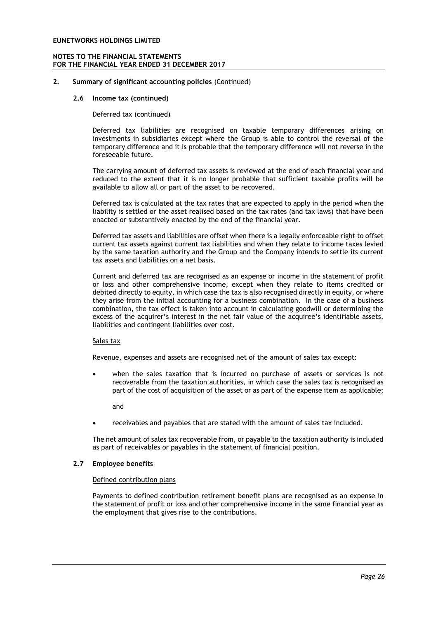### **NOTES TO THE FINANCIAL STATEMENTS FOR THE FINANCIAL YEAR ENDED 31 DECEMBER 2017**

#### **2. Summary of significant accounting policies** (Continued)

#### **2.6 Income tax (continued)**

#### Deferred tax (continued)

Deferred tax liabilities are recognised on taxable temporary differences arising on investments in subsidiaries except where the Group is able to control the reversal of the temporary difference and it is probable that the temporary difference will not reverse in the foreseeable future.

The carrying amount of deferred tax assets is reviewed at the end of each financial year and reduced to the extent that it is no longer probable that sufficient taxable profits will be available to allow all or part of the asset to be recovered.

Deferred tax is calculated at the tax rates that are expected to apply in the period when the liability is settled or the asset realised based on the tax rates (and tax laws) that have been enacted or substantively enacted by the end of the financial year.

Deferred tax assets and liabilities are offset when there is a legally enforceable right to offset current tax assets against current tax liabilities and when they relate to income taxes levied by the same taxation authority and the Group and the Company intends to settle its current tax assets and liabilities on a net basis.

Current and deferred tax are recognised as an expense or income in the statement of profit or loss and other comprehensive income, except when they relate to items credited or debited directly to equity, in which case the tax is also recognised directly in equity, or where they arise from the initial accounting for a business combination. In the case of a business combination, the tax effect is taken into account in calculating goodwill or determining the excess of the acquirer's interest in the net fair value of the acquiree's identifiable assets, liabilities and contingent liabilities over cost.

#### Sales tax

Revenue, expenses and assets are recognised net of the amount of sales tax except:

 when the sales taxation that is incurred on purchase of assets or services is not recoverable from the taxation authorities, in which case the sales tax is recognised as part of the cost of acquisition of the asset or as part of the expense item as applicable;

and

receivables and payables that are stated with the amount of sales tax included.

The net amount of sales tax recoverable from, or payable to the taxation authority is included as part of receivables or payables in the statement of financial position.

### **2.7 Employee benefits**

#### Defined contribution plans

Payments to defined contribution retirement benefit plans are recognised as an expense in the statement of profit or loss and other comprehensive income in the same financial year as the employment that gives rise to the contributions.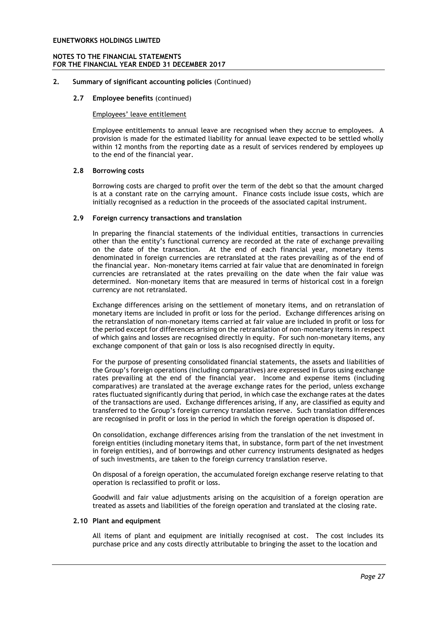### **NOTES TO THE FINANCIAL STATEMENTS FOR THE FINANCIAL YEAR ENDED 31 DECEMBER 2017**

#### **2. Summary of significant accounting policies** (Continued)

### **2.7 Employee benefits** (continued)

#### Employees' leave entitlement

Employee entitlements to annual leave are recognised when they accrue to employees. A provision is made for the estimated liability for annual leave expected to be settled wholly within 12 months from the reporting date as a result of services rendered by employees up to the end of the financial year.

#### **2.8 Borrowing costs**

Borrowing costs are charged to profit over the term of the debt so that the amount charged is at a constant rate on the carrying amount. Finance costs include issue costs, which are initially recognised as a reduction in the proceeds of the associated capital instrument.

#### **2.9 Foreign currency transactions and translation**

In preparing the financial statements of the individual entities, transactions in currencies other than the entity's functional currency are recorded at the rate of exchange prevailing on the date of the transaction. At the end of each financial year, monetary items denominated in foreign currencies are retranslated at the rates prevailing as of the end of the financial year. Non-monetary items carried at fair value that are denominated in foreign currencies are retranslated at the rates prevailing on the date when the fair value was determined. Non-monetary items that are measured in terms of historical cost in a foreign currency are not retranslated.

Exchange differences arising on the settlement of monetary items, and on retranslation of monetary items are included in profit or loss for the period. Exchange differences arising on the retranslation of non-monetary items carried at fair value are included in profit or loss for the period except for differences arising on the retranslation of non-monetary items in respect of which gains and losses are recognised directly in equity. For such non-monetary items, any exchange component of that gain or loss is also recognised directly in equity.

For the purpose of presenting consolidated financial statements, the assets and liabilities of the Group's foreign operations (including comparatives) are expressed in Euros using exchange rates prevailing at the end of the financial year. Income and expense items (including comparatives) are translated at the average exchange rates for the period, unless exchange rates fluctuated significantly during that period, in which case the exchange rates at the dates of the transactions are used. Exchange differences arising, if any, are classified as equity and transferred to the Group's foreign currency translation reserve. Such translation differences are recognised in profit or loss in the period in which the foreign operation is disposed of.

On consolidation, exchange differences arising from the translation of the net investment in foreign entities (including monetary items that, in substance, form part of the net investment in foreign entities), and of borrowings and other currency instruments designated as hedges of such investments, are taken to the foreign currency translation reserve.

On disposal of a foreign operation, the accumulated foreign exchange reserve relating to that operation is reclassified to profit or loss.

Goodwill and fair value adjustments arising on the acquisition of a foreign operation are treated as assets and liabilities of the foreign operation and translated at the closing rate.

#### **2.10 Plant and equipment**

All items of plant and equipment are initially recognised at cost. The cost includes its purchase price and any costs directly attributable to bringing the asset to the location and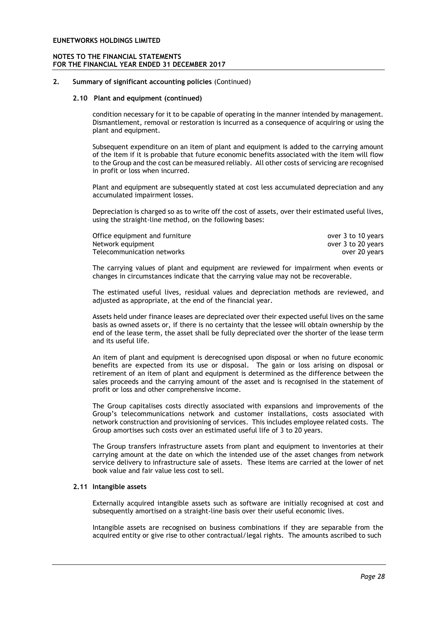### **NOTES TO THE FINANCIAL STATEMENTS FOR THE FINANCIAL YEAR ENDED 31 DECEMBER 2017**

#### **2. Summary of significant accounting policies** (Continued)

#### **2.10 Plant and equipment (continued)**

condition necessary for it to be capable of operating in the manner intended by management. Dismantlement, removal or restoration is incurred as a consequence of acquiring or using the plant and equipment.

Subsequent expenditure on an item of plant and equipment is added to the carrying amount of the item if it is probable that future economic benefits associated with the item will flow to the Group and the cost can be measured reliably. All other costs of servicing are recognised in profit or loss when incurred.

Plant and equipment are subsequently stated at cost less accumulated depreciation and any accumulated impairment losses.

Depreciation is charged so as to write off the cost of assets, over their estimated useful lives, using the straight-line method, on the following bases:

| Office equipment and furniture | over 3 to 10 years |
|--------------------------------|--------------------|
| Network equipment              | over 3 to 20 years |
| Telecommunication networks     | over 20 years      |

The carrying values of plant and equipment are reviewed for impairment when events or changes in circumstances indicate that the carrying value may not be recoverable.

The estimated useful lives, residual values and depreciation methods are reviewed, and adjusted as appropriate, at the end of the financial year.

Assets held under finance leases are depreciated over their expected useful lives on the same basis as owned assets or, if there is no certainty that the lessee will obtain ownership by the end of the lease term, the asset shall be fully depreciated over the shorter of the lease term and its useful life.

An item of plant and equipment is derecognised upon disposal or when no future economic benefits are expected from its use or disposal. The gain or loss arising on disposal or retirement of an item of plant and equipment is determined as the difference between the sales proceeds and the carrying amount of the asset and is recognised in the statement of profit or loss and other comprehensive income.

The Group capitalises costs directly associated with expansions and improvements of the Group's telecommunications network and customer installations, costs associated with network construction and provisioning of services. This includes employee related costs. The Group amortises such costs over an estimated useful life of 3 to 20 years.

The Group transfers infrastructure assets from plant and equipment to inventories at their carrying amount at the date on which the intended use of the asset changes from network service delivery to infrastructure sale of assets. These items are carried at the lower of net book value and fair value less cost to sell.

#### **2.11 Intangible assets**

Externally acquired intangible assets such as software are initially recognised at cost and subsequently amortised on a straight-line basis over their useful economic lives.

Intangible assets are recognised on business combinations if they are separable from the acquired entity or give rise to other contractual/legal rights. The amounts ascribed to such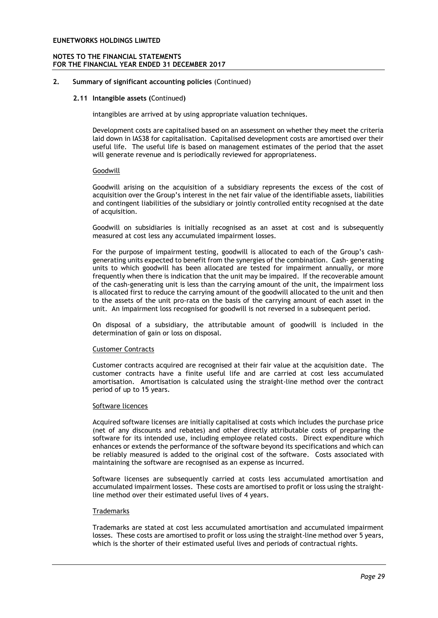### **NOTES TO THE FINANCIAL STATEMENTS FOR THE FINANCIAL YEAR ENDED 31 DECEMBER 2017**

#### **2. Summary of significant accounting policies** (Continued)

#### **2.11 Intangible assets (**Continued**)**

intangibles are arrived at by using appropriate valuation techniques.

Development costs are capitalised based on an assessment on whether they meet the criteria laid down in IAS38 for capitalisation. Capitalised development costs are amortised over their useful life. The useful life is based on management estimates of the period that the asset will generate revenue and is periodically reviewed for appropriateness.

#### Goodwill

Goodwill arising on the acquisition of a subsidiary represents the excess of the cost of acquisition over the Group's interest in the net fair value of the identifiable assets, liabilities and contingent liabilities of the subsidiary or jointly controlled entity recognised at the date of acquisition.

Goodwill on subsidiaries is initially recognised as an asset at cost and is subsequently measured at cost less any accumulated impairment losses.

For the purpose of impairment testing, goodwill is allocated to each of the Group's cashgenerating units expected to benefit from the synergies of the combination. Cash- generating units to which goodwill has been allocated are tested for impairment annually, or more frequently when there is indication that the unit may be impaired. If the recoverable amount of the cash-generating unit is less than the carrying amount of the unit, the impairment loss is allocated first to reduce the carrying amount of the goodwill allocated to the unit and then to the assets of the unit pro-rata on the basis of the carrying amount of each asset in the unit. An impairment loss recognised for goodwill is not reversed in a subsequent period.

On disposal of a subsidiary, the attributable amount of goodwill is included in the determination of gain or loss on disposal.

#### Customer Contracts

Customer contracts acquired are recognised at their fair value at the acquisition date. The customer contracts have a finite useful life and are carried at cost less accumulated amortisation. Amortisation is calculated using the straight-line method over the contract period of up to 15 years.

#### Software licences

Acquired software licenses are initially capitalised at costs which includes the purchase price (net of any discounts and rebates) and other directly attributable costs of preparing the software for its intended use, including employee related costs. Direct expenditure which enhances or extends the performance of the software beyond its specifications and which can be reliably measured is added to the original cost of the software. Costs associated with maintaining the software are recognised as an expense as incurred.

Software licenses are subsequently carried at costs less accumulated amortisation and accumulated impairment losses. These costs are amortised to profit or loss using the straightline method over their estimated useful lives of 4 years.

### **Trademarks**

Trademarks are stated at cost less accumulated amortisation and accumulated impairment losses. These costs are amortised to profit or loss using the straight-line method over 5 years, which is the shorter of their estimated useful lives and periods of contractual rights.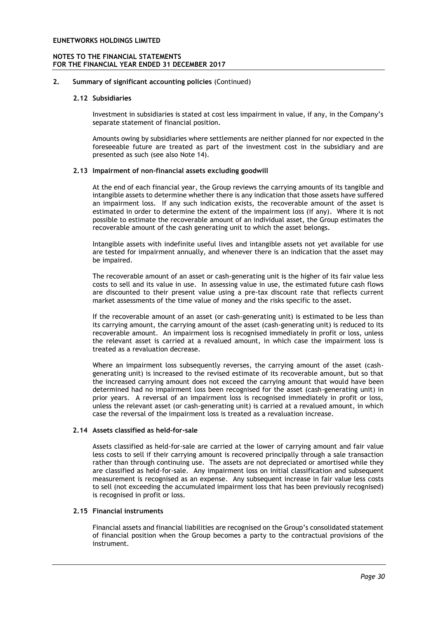### **NOTES TO THE FINANCIAL STATEMENTS FOR THE FINANCIAL YEAR ENDED 31 DECEMBER 2017**

#### **2. Summary of significant accounting policies** (Continued)

#### **2.12 Subsidiaries**

Investment in subsidiaries is stated at cost less impairment in value, if any, in the Company's separate statement of financial position.

Amounts owing by subsidiaries where settlements are neither planned for nor expected in the foreseeable future are treated as part of the investment cost in the subsidiary and are presented as such (see also Note 14).

#### **2.13 Impairment of non-financial assets excluding goodwill**

At the end of each financial year, the Group reviews the carrying amounts of its tangible and intangible assets to determine whether there is any indication that those assets have suffered an impairment loss. If any such indication exists, the recoverable amount of the asset is estimated in order to determine the extent of the impairment loss (if any). Where it is not possible to estimate the recoverable amount of an individual asset, the Group estimates the recoverable amount of the cash generating unit to which the asset belongs.

Intangible assets with indefinite useful lives and intangible assets not yet available for use are tested for impairment annually, and whenever there is an indication that the asset may be impaired.

The recoverable amount of an asset or cash-generating unit is the higher of its fair value less costs to sell and its value in use. In assessing value in use, the estimated future cash flows are discounted to their present value using a pre-tax discount rate that reflects current market assessments of the time value of money and the risks specific to the asset.

If the recoverable amount of an asset (or cash-generating unit) is estimated to be less than its carrying amount, the carrying amount of the asset (cash-generating unit) is reduced to its recoverable amount. An impairment loss is recognised immediately in profit or loss, unless the relevant asset is carried at a revalued amount, in which case the impairment loss is treated as a revaluation decrease.

Where an impairment loss subsequently reverses, the carrying amount of the asset (cashgenerating unit) is increased to the revised estimate of its recoverable amount, but so that the increased carrying amount does not exceed the carrying amount that would have been determined had no impairment loss been recognised for the asset (cash-generating unit) in prior years. A reversal of an impairment loss is recognised immediately in profit or loss, unless the relevant asset (or cash-generating unit) is carried at a revalued amount, in which case the reversal of the impairment loss is treated as a revaluation increase.

### **2.14 Assets classified as held-for-sale**

Assets classified as held-for-sale are carried at the lower of carrying amount and fair value less costs to sell if their carrying amount is recovered principally through a sale transaction rather than through continuing use. The assets are not depreciated or amortised while they are classified as held-for-sale. Any impairment loss on initial classification and subsequent measurement is recognised as an expense. Any subsequent increase in fair value less costs to sell (not exceeding the accumulated impairment loss that has been previously recognised) is recognised in profit or loss.

#### **2.15 Financial instruments**

Financial assets and financial liabilities are recognised on the Group's consolidated statement of financial position when the Group becomes a party to the contractual provisions of the instrument.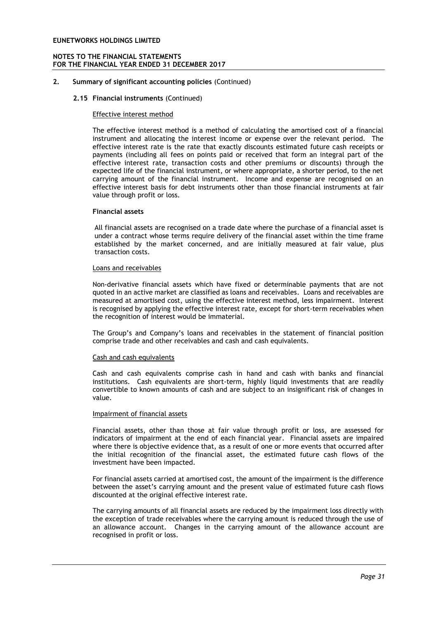### **NOTES TO THE FINANCIAL STATEMENTS FOR THE FINANCIAL YEAR ENDED 31 DECEMBER 2017**

#### **2. Summary of significant accounting policies** (Continued)

#### **2.15 Financial instruments** (Continued)

#### Effective interest method

The effective interest method is a method of calculating the amortised cost of a financial instrument and allocating the interest income or expense over the relevant period. The effective interest rate is the rate that exactly discounts estimated future cash receipts or payments (including all fees on points paid or received that form an integral part of the effective interest rate, transaction costs and other premiums or discounts) through the expected life of the financial instrument, or where appropriate, a shorter period, to the net carrying amount of the financial instrument. Income and expense are recognised on an effective interest basis for debt instruments other than those financial instruments at fair value through profit or loss.

#### **Financial assets**

All financial assets are recognised on a trade date where the purchase of a financial asset is under a contract whose terms require delivery of the financial asset within the time frame established by the market concerned, and are initially measured at fair value, plus transaction costs.

#### Loans and receivables

Non-derivative financial assets which have fixed or determinable payments that are not quoted in an active market are classified as loans and receivables. Loans and receivables are measured at amortised cost, using the effective interest method, less impairment. Interest is recognised by applying the effective interest rate, except for short-term receivables when the recognition of interest would be immaterial.

The Group's and Company's loans and receivables in the statement of financial position comprise trade and other receivables and cash and cash equivalents.

#### Cash and cash equivalents

Cash and cash equivalents comprise cash in hand and cash with banks and financial institutions. Cash equivalents are short-term, highly liquid investments that are readily convertible to known amounts of cash and are subject to an insignificant risk of changes in value.

### Impairment of financial assets

Financial assets, other than those at fair value through profit or loss, are assessed for indicators of impairment at the end of each financial year. Financial assets are impaired where there is objective evidence that, as a result of one or more events that occurred after the initial recognition of the financial asset, the estimated future cash flows of the investment have been impacted.

For financial assets carried at amortised cost, the amount of the impairment is the difference between the asset's carrying amount and the present value of estimated future cash flows discounted at the original effective interest rate.

The carrying amounts of all financial assets are reduced by the impairment loss directly with the exception of trade receivables where the carrying amount is reduced through the use of an allowance account. Changes in the carrying amount of the allowance account are recognised in profit or loss.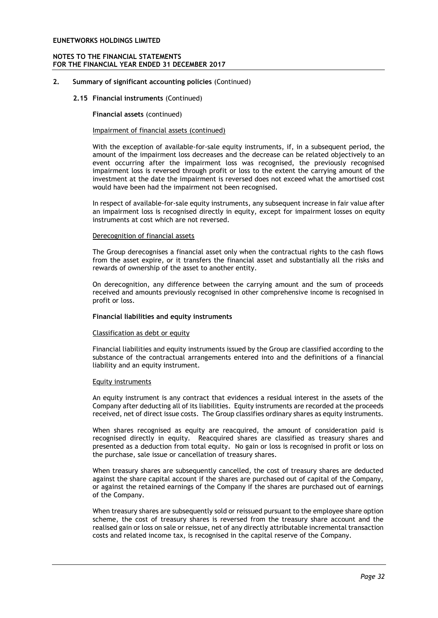### **NOTES TO THE FINANCIAL STATEMENTS FOR THE FINANCIAL YEAR ENDED 31 DECEMBER 2017**

#### **2. Summary of significant accounting policies** (Continued)

### **2.15 Financial instruments** (Continued)

#### **Financial assets** (continued)

#### Impairment of financial assets (continued)

With the exception of available-for-sale equity instruments, if, in a subsequent period, the amount of the impairment loss decreases and the decrease can be related objectively to an event occurring after the impairment loss was recognised, the previously recognised impairment loss is reversed through profit or loss to the extent the carrying amount of the investment at the date the impairment is reversed does not exceed what the amortised cost would have been had the impairment not been recognised.

In respect of available-for-sale equity instruments, any subsequent increase in fair value after an impairment loss is recognised directly in equity, except for impairment losses on equity instruments at cost which are not reversed.

#### Derecognition of financial assets

The Group derecognises a financial asset only when the contractual rights to the cash flows from the asset expire, or it transfers the financial asset and substantially all the risks and rewards of ownership of the asset to another entity.

On derecognition, any difference between the carrying amount and the sum of proceeds received and amounts previously recognised in other comprehensive income is recognised in profit or loss.

### **Financial liabilities and equity instruments**

#### Classification as debt or equity

Financial liabilities and equity instruments issued by the Group are classified according to the substance of the contractual arrangements entered into and the definitions of a financial liability and an equity instrument.

#### Equity instruments

An equity instrument is any contract that evidences a residual interest in the assets of the Company after deducting all of its liabilities. Equity instruments are recorded at the proceeds received, net of direct issue costs. The Group classifies ordinary shares as equity instruments.

When shares recognised as equity are reacquired, the amount of consideration paid is recognised directly in equity. Reacquired shares are classified as treasury shares and presented as a deduction from total equity. No gain or loss is recognised in profit or loss on the purchase, sale issue or cancellation of treasury shares.

When treasury shares are subsequently cancelled, the cost of treasury shares are deducted against the share capital account if the shares are purchased out of capital of the Company, or against the retained earnings of the Company if the shares are purchased out of earnings of the Company.

When treasury shares are subsequently sold or reissued pursuant to the employee share option scheme, the cost of treasury shares is reversed from the treasury share account and the realised gain or loss on sale or reissue, net of any directly attributable incremental transaction costs and related income tax, is recognised in the capital reserve of the Company.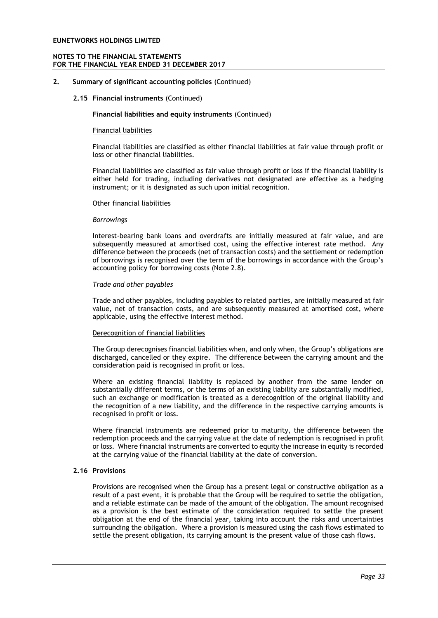### **NOTES TO THE FINANCIAL STATEMENTS FOR THE FINANCIAL YEAR ENDED 31 DECEMBER 2017**

#### **2. Summary of significant accounting policies** (Continued)

#### **2.15 Financial instruments** (Continued)

#### **Financial liabilities and equity instruments** (Continued)

#### Financial liabilities

Financial liabilities are classified as either financial liabilities at fair value through profit or loss or other financial liabilities.

Financial liabilities are classified as fair value through profit or loss if the financial liability is either held for trading, including derivatives not designated are effective as a hedging instrument; or it is designated as such upon initial recognition.

#### Other financial liabilities

#### *Borrowings*

Interest-bearing bank loans and overdrafts are initially measured at fair value, and are subsequently measured at amortised cost, using the effective interest rate method. Any difference between the proceeds (net of transaction costs) and the settlement or redemption of borrowings is recognised over the term of the borrowings in accordance with the Group's accounting policy for borrowing costs (Note 2.8).

#### *Trade and other payables*

Trade and other payables, including payables to related parties, are initially measured at fair value, net of transaction costs, and are subsequently measured at amortised cost, where applicable, using the effective interest method.

#### Derecognition of financial liabilities

The Group derecognises financial liabilities when, and only when, the Group's obligations are discharged, cancelled or they expire. The difference between the carrying amount and the consideration paid is recognised in profit or loss.

Where an existing financial liability is replaced by another from the same lender on substantially different terms, or the terms of an existing liability are substantially modified, such an exchange or modification is treated as a derecognition of the original liability and the recognition of a new liability, and the difference in the respective carrying amounts is recognised in profit or loss.

Where financial instruments are redeemed prior to maturity, the difference between the redemption proceeds and the carrying value at the date of redemption is recognised in profit or loss. Where financial instruments are converted to equity the increase in equity is recorded at the carrying value of the financial liability at the date of conversion.

### **2.16 Provisions**

Provisions are recognised when the Group has a present legal or constructive obligation as a result of a past event, it is probable that the Group will be required to settle the obligation, and a reliable estimate can be made of the amount of the obligation. The amount recognised as a provision is the best estimate of the consideration required to settle the present obligation at the end of the financial year, taking into account the risks and uncertainties surrounding the obligation. Where a provision is measured using the cash flows estimated to settle the present obligation, its carrying amount is the present value of those cash flows.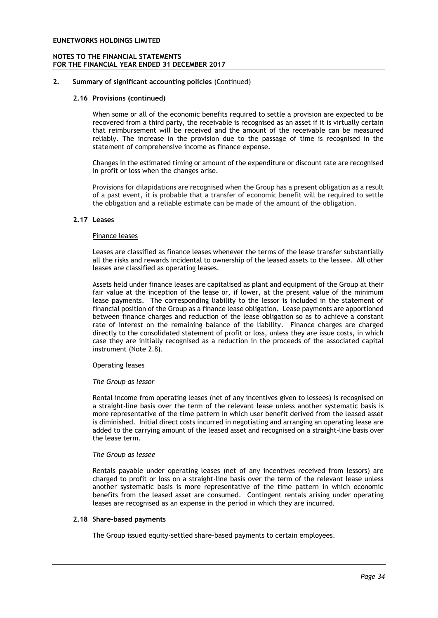### **NOTES TO THE FINANCIAL STATEMENTS FOR THE FINANCIAL YEAR ENDED 31 DECEMBER 2017**

#### **2. Summary of significant accounting policies** (Continued)

#### **2.16 Provisions (continued)**

When some or all of the economic benefits required to settle a provision are expected to be recovered from a third party, the receivable is recognised as an asset if it is virtually certain that reimbursement will be received and the amount of the receivable can be measured reliably. The increase in the provision due to the passage of time is recognised in the statement of comprehensive income as finance expense.

Changes in the estimated timing or amount of the expenditure or discount rate are recognised in profit or loss when the changes arise.

Provisions for dilapidations are recognised when the Group has a present obligation as a result of a past event, it is probable that a transfer of economic benefit will be required to settle the obligation and a reliable estimate can be made of the amount of the obligation.

#### **2.17 Leases**

#### Finance leases

Leases are classified as finance leases whenever the terms of the lease transfer substantially all the risks and rewards incidental to ownership of the leased assets to the lessee. All other leases are classified as operating leases.

Assets held under finance leases are capitalised as plant and equipment of the Group at their fair value at the inception of the lease or, if lower, at the present value of the minimum lease payments. The corresponding liability to the lessor is included in the statement of financial position of the Group as a finance lease obligation. Lease payments are apportioned between finance charges and reduction of the lease obligation so as to achieve a constant rate of interest on the remaining balance of the liability. Finance charges are charged directly to the consolidated statement of profit or loss, unless they are issue costs, in which case they are initially recognised as a reduction in the proceeds of the associated capital instrument (Note 2.8).

#### Operating leases

#### *The Group as lessor*

Rental income from operating leases (net of any incentives given to lessees) is recognised on a straight-line basis over the term of the relevant lease unless another systematic basis is more representative of the time pattern in which user benefit derived from the leased asset is diminished. Initial direct costs incurred in negotiating and arranging an operating lease are added to the carrying amount of the leased asset and recognised on a straight-line basis over the lease term.

### *The Group as lessee*

Rentals payable under operating leases (net of any incentives received from lessors) are charged to profit or loss on a straight-line basis over the term of the relevant lease unless another systematic basis is more representative of the time pattern in which economic benefits from the leased asset are consumed. Contingent rentals arising under operating leases are recognised as an expense in the period in which they are incurred.

#### **2.18 Share-based payments**

The Group issued equity-settled share-based payments to certain employees.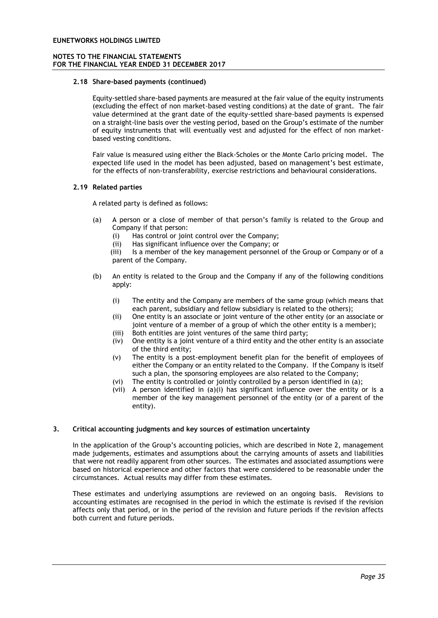#### **2.18 Share-based payments (continued)**

Equity-settled share-based payments are measured at the fair value of the equity instruments (excluding the effect of non market-based vesting conditions) at the date of grant. The fair value determined at the grant date of the equity-settled share-based payments is expensed on a straight-line basis over the vesting period, based on the Group's estimate of the number of equity instruments that will eventually vest and adjusted for the effect of non marketbased vesting conditions.

Fair value is measured using either the Black-Scholes or the Monte Carlo pricing model. The expected life used in the model has been adjusted, based on management's best estimate, for the effects of non-transferability, exercise restrictions and behavioural considerations.

#### **2.19 Related parties**

A related party is defined as follows:

- (a) A person or a close of member of that person's family is related to the Group and Company if that person:
	- (i) Has control or joint control over the Company;
	- (ii) Has significant influence over the Company; or
	- (iii) Is a member of the key management personnel of the Group or Company or of a parent of the Company.
- (b) An entity is related to the Group and the Company if any of the following conditions apply:
	- (i) The entity and the Company are members of the same group (which means that each parent, subsidiary and fellow subsidiary is related to the others);
	- (ii) One entity is an associate or joint venture of the other entity (or an associate or joint venture of a member of a group of which the other entity is a member);
	- (iii) Both entities are joint ventures of the same third party;
	- (iv) One entity is a joint venture of a third entity and the other entity is an associate of the third entity;
	- (v) The entity is a post-employment benefit plan for the benefit of employees of either the Company or an entity related to the Company. If the Company is itself such a plan, the sponsoring employees are also related to the Company;
	- (vi) The entity is controlled or jointly controlled by a person identified in (a);
	- (vii) A person identified in  $(a)(i)$  has significant influence over the entity or is a member of the key management personnel of the entity (or of a parent of the entity).

### **3. Critical accounting judgments and key sources of estimation uncertainty**

In the application of the Group's accounting policies, which are described in Note 2, management made judgements, estimates and assumptions about the carrying amounts of assets and liabilities that were not readily apparent from other sources. The estimates and associated assumptions were based on historical experience and other factors that were considered to be reasonable under the circumstances. Actual results may differ from these estimates.

These estimates and underlying assumptions are reviewed on an ongoing basis. Revisions to accounting estimates are recognised in the period in which the estimate is revised if the revision affects only that period, or in the period of the revision and future periods if the revision affects both current and future periods.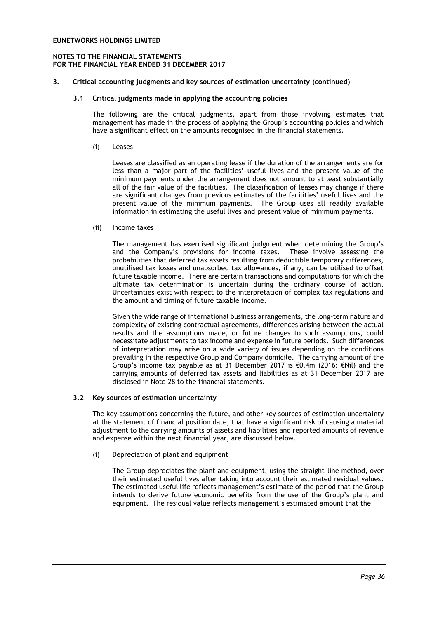### **NOTES TO THE FINANCIAL STATEMENTS FOR THE FINANCIAL YEAR ENDED 31 DECEMBER 2017**

#### **3. Critical accounting judgments and key sources of estimation uncertainty (continued)**

#### **3.1 Critical judgments made in applying the accounting policies**

The following are the critical judgments, apart from those involving estimates that management has made in the process of applying the Group's accounting policies and which have a significant effect on the amounts recognised in the financial statements.

(i) Leases

Leases are classified as an operating lease if the duration of the arrangements are for less than a major part of the facilities' useful lives and the present value of the minimum payments under the arrangement does not amount to at least substantially all of the fair value of the facilities. The classification of leases may change if there are significant changes from previous estimates of the facilities' useful lives and the present value of the minimum payments. The Group uses all readily available information in estimating the useful lives and present value of minimum payments.

#### (ii) Income taxes

The management has exercised significant judgment when determining the Group's and the Company's provisions for income taxes. These involve assessing the probabilities that deferred tax assets resulting from deductible temporary differences, unutilised tax losses and unabsorbed tax allowances, if any, can be utilised to offset future taxable income. There are certain transactions and computations for which the ultimate tax determination is uncertain during the ordinary course of action. Uncertainties exist with respect to the interpretation of complex tax regulations and the amount and timing of future taxable income.

Given the wide range of international business arrangements, the long-term nature and complexity of existing contractual agreements, differences arising between the actual results and the assumptions made, or future changes to such assumptions, could necessitate adjustments to tax income and expense in future periods. Such differences of interpretation may arise on a wide variety of issues depending on the conditions prevailing in the respective Group and Company domicile. The carrying amount of the Group's income tax payable as at 31 December 2017 is €0.4m (2016: €Nil) and the carrying amounts of deferred tax assets and liabilities as at 31 December 2017 are disclosed in Note 28 to the financial statements.

### **3.2 Key sources of estimation uncertainty**

The key assumptions concerning the future, and other key sources of estimation uncertainty at the statement of financial position date, that have a significant risk of causing a material adjustment to the carrying amounts of assets and liabilities and reported amounts of revenue and expense within the next financial year, are discussed below.

(i) Depreciation of plant and equipment

The Group depreciates the plant and equipment, using the straight-line method, over their estimated useful lives after taking into account their estimated residual values. The estimated useful life reflects management's estimate of the period that the Group intends to derive future economic benefits from the use of the Group's plant and equipment. The residual value reflects management's estimated amount that the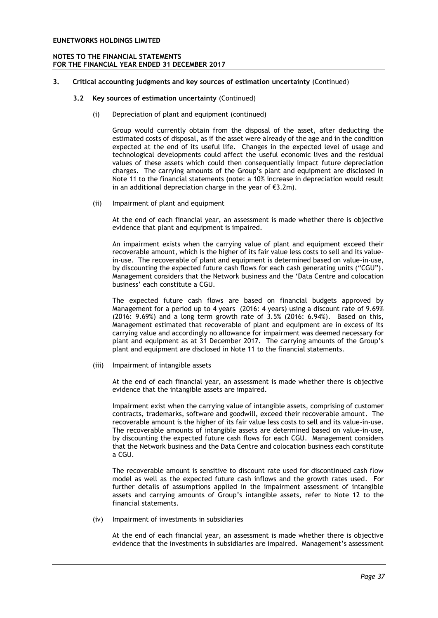### **NOTES TO THE FINANCIAL STATEMENTS FOR THE FINANCIAL YEAR ENDED 31 DECEMBER 2017**

#### **3. Critical accounting judgments and key sources of estimation uncertainty** (Continued)

#### **3.2 Key sources of estimation uncertainty** (Continued)

(i) Depreciation of plant and equipment (continued)

Group would currently obtain from the disposal of the asset, after deducting the estimated costs of disposal, as if the asset were already of the age and in the condition expected at the end of its useful life. Changes in the expected level of usage and technological developments could affect the useful economic lives and the residual values of these assets which could then consequentially impact future depreciation charges. The carrying amounts of the Group's plant and equipment are disclosed in Note 11 to the financial statements (note: a 10% increase in depreciation would result in an additional depreciation charge in the year of €3.2m).

(ii) Impairment of plant and equipment

At the end of each financial year, an assessment is made whether there is objective evidence that plant and equipment is impaired.

An impairment exists when the carrying value of plant and equipment exceed their recoverable amount, which is the higher of its fair value less costs to sell and its valuein-use. The recoverable of plant and equipment is determined based on value-in-use, by discounting the expected future cash flows for each cash generating units ("CGU"). Management considers that the Network business and the 'Data Centre and colocation business' each constitute a CGU.

The expected future cash flows are based on financial budgets approved by Management for a period up to 4 years (2016: 4 years) using a discount rate of 9.69% (2016: 9.69%) and a long term growth rate of 3.5% (2016: 6.94%). Based on this, Management estimated that recoverable of plant and equipment are in excess of its carrying value and accordingly no allowance for impairment was deemed necessary for plant and equipment as at 31 December 2017. The carrying amounts of the Group's plant and equipment are disclosed in Note 11 to the financial statements.

(iii) Impairment of intangible assets

At the end of each financial year, an assessment is made whether there is objective evidence that the intangible assets are impaired.

Impairment exist when the carrying value of intangible assets, comprising of customer contracts, trademarks, software and goodwill, exceed their recoverable amount. The recoverable amount is the higher of its fair value less costs to sell and its value-in-use. The recoverable amounts of intangible assets are determined based on value-in-use, by discounting the expected future cash flows for each CGU. Management considers that the Network business and the Data Centre and colocation business each constitute a CGU.

The recoverable amount is sensitive to discount rate used for discontinued cash flow model as well as the expected future cash inflows and the growth rates used. For further details of assumptions applied in the impairment assessment of intangible assets and carrying amounts of Group's intangible assets, refer to Note 12 to the financial statements.

(iv) Impairment of investments in subsidiaries

At the end of each financial year, an assessment is made whether there is objective evidence that the investments in subsidiaries are impaired. Management's assessment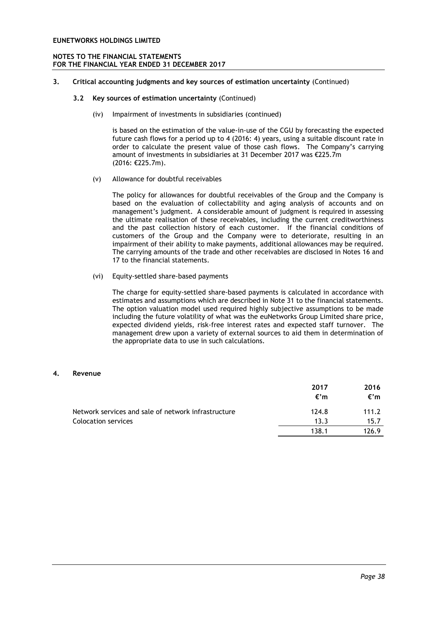### **NOTES TO THE FINANCIAL STATEMENTS FOR THE FINANCIAL YEAR ENDED 31 DECEMBER 2017**

### **3. Critical accounting judgments and key sources of estimation uncertainty** (Continued)

### **3.2 Key sources of estimation uncertainty** (Continued)

(iv) Impairment of investments in subsidiaries (continued)

is based on the estimation of the value-in-use of the CGU by forecasting the expected future cash flows for a period up to 4 (2016: 4) years, using a suitable discount rate in order to calculate the present value of those cash flows. The Company's carrying amount of investments in subsidiaries at 31 December 2017 was €225.7m (2016: €225.7m).

(v) Allowance for doubtful receivables

The policy for allowances for doubtful receivables of the Group and the Company is based on the evaluation of collectability and aging analysis of accounts and on management's judgment. A considerable amount of judgment is required in assessing the ultimate realisation of these receivables, including the current creditworthiness and the past collection history of each customer. If the financial conditions of customers of the Group and the Company were to deteriorate, resulting in an impairment of their ability to make payments, additional allowances may be required. The carrying amounts of the trade and other receivables are disclosed in Notes 16 and 17 to the financial statements.

(vi) Equity-settled share-based payments

The charge for equity-settled share-based payments is calculated in accordance with estimates and assumptions which are described in Note 31 to the financial statements. The option valuation model used required highly subjective assumptions to be made including the future volatility of what was the euNetworks Group Limited share price, expected dividend yields, risk-free interest rates and expected staff turnover. The management drew upon a variety of external sources to aid them in determination of the appropriate data to use in such calculations.

### **4. Revenue**

|                                                     | 2017<br>€'m | 2016<br>€'m |
|-----------------------------------------------------|-------------|-------------|
| Network services and sale of network infrastructure | 124.8       | 111.2       |
| Colocation services                                 | 13.3        | 15.7        |
|                                                     | 138.1       | 126.9       |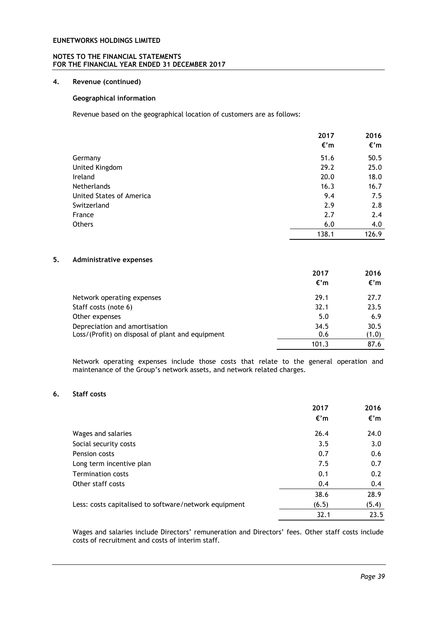### **NOTES TO THE FINANCIAL STATEMENTS FOR THE FINANCIAL YEAR ENDED 31 DECEMBER 2017**

# **4. Revenue (continued)**

### **Geographical information**

Revenue based on the geographical location of customers are as follows:

|                          | 2017<br>€'m | 2016<br>€'m |
|--------------------------|-------------|-------------|
| Germany                  | 51.6        | 50.5        |
| United Kingdom           | 29.2        | 25.0        |
| Ireland                  | 20.0        | 18.0        |
| <b>Netherlands</b>       | 16.3        | 16.7        |
| United States of America | 9.4         | 7.5         |
| Switzerland              | 2.9         | 2.8         |
| France                   | 2.7         | 2.4         |
| <b>Others</b>            | 6.0         | 4.0         |
|                          | 138.1       | 126.9       |

### **5. Administrative expenses**

|                                                  | 2017  | 2016  |
|--------------------------------------------------|-------|-------|
|                                                  | €'m   | €'m   |
| Network operating expenses                       | 29.1  | 27.7  |
| Staff costs (note 6)                             | 32.1  | 23.5  |
| Other expenses                                   | 5.0   | 6.9   |
| Depreciation and amortisation                    | 34.5  | 30.5  |
| Loss/(Profit) on disposal of plant and equipment | 0.6   | (1.0) |
|                                                  | 101.3 | 87.6  |

Network operating expenses include those costs that relate to the general operation and maintenance of the Group's network assets, and network related charges.

### **6. Staff costs**

|                                                       | 2017  | 2016  |
|-------------------------------------------------------|-------|-------|
|                                                       | €'m   | €'m   |
| Wages and salaries                                    | 26.4  | 24.0  |
| Social security costs                                 | 3.5   | 3.0   |
| Pension costs                                         | 0.7   | 0.6   |
| Long term incentive plan                              | 7.5   | 0.7   |
| <b>Termination costs</b>                              | 0.1   | 0.2   |
| Other staff costs                                     | 0.4   | 0.4   |
|                                                       | 38.6  | 28.9  |
| Less: costs capitalised to software/network equipment | (6.5) | (5.4) |
|                                                       | 32.1  | 23.5  |

Wages and salaries include Directors' remuneration and Directors' fees. Other staff costs include costs of recruitment and costs of interim staff.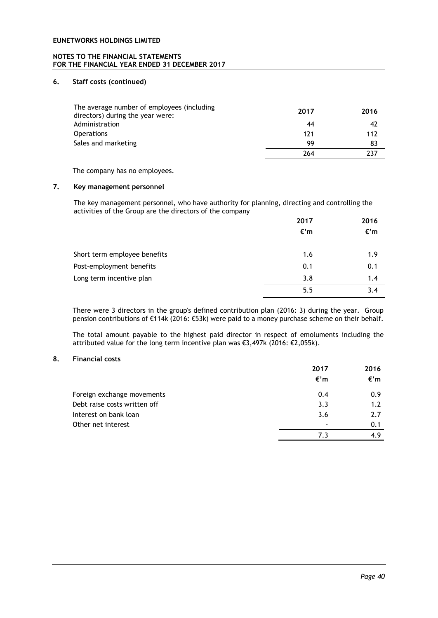# **NOTES TO THE FINANCIAL STATEMENTS FOR THE FINANCIAL YEAR ENDED 31 DECEMBER 2017**

### **6. Staff costs (continued)**

| The average number of employees (including<br>directors) during the year were: | 2017 | 2016 |
|--------------------------------------------------------------------------------|------|------|
| Administration                                                                 | 44   | 42   |
| <b>Operations</b>                                                              | 121  | 112  |
| Sales and marketing                                                            | 99   | 83   |
|                                                                                | 264  | 237  |

The company has no employees.

### **7. Key management personnel**

The key management personnel, who have authority for planning, directing and controlling the activities of the Group are the directors of the company

|                              | 2017 | 2016 |
|------------------------------|------|------|
|                              | €'m  | €'m  |
| Short term employee benefits | 1.6  | 1.9  |
| Post-employment benefits     | 0.1  | 0.1  |
| Long term incentive plan     | 3.8  | 1.4  |
|                              | 5.5  | 3.4  |

There were 3 directors in the group's defined contribution plan (2016: 3) during the year. Group pension contributions of €114k (2016: €53k) were paid to a money purchase scheme on their behalf.

The total amount payable to the highest paid director in respect of emoluments including the attributed value for the long term incentive plan was €3,497k (2016: €2,055k).

### **8. Financial costs**

|                              | 2017 | 2016<br>€'m |
|------------------------------|------|-------------|
|                              | €'m  |             |
| Foreign exchange movements   | 0.4  | 0.9         |
| Debt raise costs written off | 3.3  | 1.2         |
| Interest on bank loan        | 3.6  | 2.7         |
| Other net interest           |      | 0.1         |
|                              | 7.3  | 4.9         |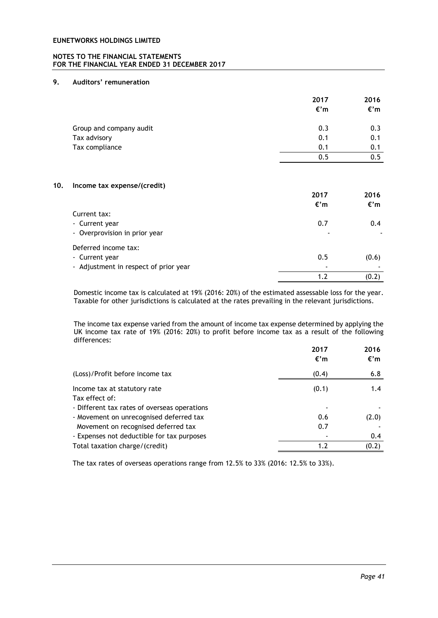# **NOTES TO THE FINANCIAL STATEMENTS FOR THE FINANCIAL YEAR ENDED 31 DECEMBER 2017**

### **9. Auditors' remuneration**

|                         | 2017<br>€'m | 2016<br>€'m |
|-------------------------|-------------|-------------|
| Group and company audit | 0.3         | 0.3         |
| Tax advisory            | 0.1         | 0.1         |
| Tax compliance          | 0.1         | 0.1         |
|                         | 0.5         | 0.5         |

### **10. Income tax expense/(credit)**

|                                       | 2017<br>€'m | 2016<br>€'m |
|---------------------------------------|-------------|-------------|
| Current tax:                          |             |             |
| - Current year                        | 0.7         | 0.4         |
| - Overprovision in prior year         |             |             |
| Deferred income tax:                  |             |             |
| - Current year                        | 0.5         | (0.6)       |
| - Adjustment in respect of prior year |             |             |
|                                       | 1.2         | (0.2)       |
|                                       |             |             |

Domestic income tax is calculated at 19% (2016: 20%) of the estimated assessable loss for the year. Taxable for other jurisdictions is calculated at the rates prevailing in the relevant jurisdictions.

The income tax expense varied from the amount of income tax expense determined by applying the UK income tax rate of 19% (2016: 20%) to profit before income tax as a result of the following differences:

|                                              | 2017<br>€'m | 2016<br>€'m |
|----------------------------------------------|-------------|-------------|
| (Loss)/Profit before income tax              | (0.4)       | 6.8         |
| Income tax at statutory rate                 | (0.1)       | 1.4         |
| Tax effect of:                               |             |             |
| - Different tax rates of overseas operations |             |             |
| - Movement on unrecognised deferred tax      | 0.6         | (2.0)       |
| Movement on recognised deferred tax          | 0.7         |             |
| - Expenses not deductible for tax purposes   |             | 0.4         |
| Total taxation charge/(credit)               | 1.2         | (0.2)       |

The tax rates of overseas operations range from 12.5% to 33% (2016: 12.5% to 33%).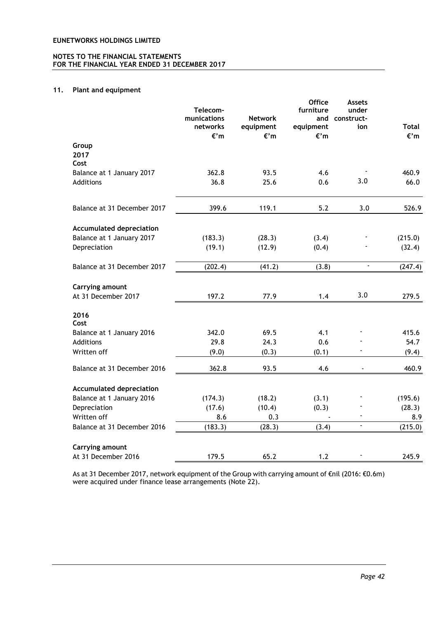# **11. Plant and equipment**

|                                 | Telecom-<br>munications<br>networks<br>€'m | <b>Network</b><br>equipment<br>€'m | <b>Office</b><br>furniture<br>and<br>equipment<br>€'m | <b>Assets</b><br>under<br>construct-<br>ion | <b>Total</b><br>€'m |
|---------------------------------|--------------------------------------------|------------------------------------|-------------------------------------------------------|---------------------------------------------|---------------------|
| Group                           |                                            |                                    |                                                       |                                             |                     |
| 2017<br>Cost                    |                                            |                                    |                                                       |                                             |                     |
| Balance at 1 January 2017       | 362.8                                      | 93.5                               | 4.6                                                   |                                             | 460.9               |
| Additions                       | 36.8                                       | 25.6                               | 0.6                                                   | 3.0                                         | 66.0                |
| Balance at 31 December 2017     | 399.6                                      | 119.1                              | 5.2                                                   | 3.0                                         | 526.9               |
|                                 |                                            |                                    |                                                       |                                             |                     |
| Accumulated depreciation        |                                            |                                    |                                                       |                                             |                     |
| Balance at 1 January 2017       | (183.3)                                    | (28.3)                             | (3.4)                                                 |                                             | (215.0)             |
| Depreciation                    | (19.1)                                     | (12.9)                             | (0.4)                                                 |                                             | (32.4)              |
| Balance at 31 December 2017     | (202.4)                                    | (41.2)                             | (3.8)                                                 | $\overline{\phantom{a}}$                    | (247.4)             |
| Carrying amount                 |                                            |                                    |                                                       |                                             |                     |
| At 31 December 2017             | 197.2                                      | 77.9                               | 1.4                                                   | 3.0                                         | 279.5               |
| 2016                            |                                            |                                    |                                                       |                                             |                     |
| Cost                            |                                            |                                    |                                                       |                                             |                     |
| Balance at 1 January 2016       | 342.0                                      | 69.5                               | 4.1                                                   |                                             | 415.6               |
| <b>Additions</b>                | 29.8                                       | 24.3                               | 0.6                                                   |                                             | 54.7                |
| Written off                     | (9.0)                                      | (0.3)                              | (0.1)                                                 |                                             | (9.4)               |
| Balance at 31 December 2016     | 362.8                                      | 93.5                               | 4.6                                                   |                                             | 460.9               |
| <b>Accumulated depreciation</b> |                                            |                                    |                                                       |                                             |                     |
| Balance at 1 January 2016       | (174.3)                                    | (18.2)                             | (3.1)                                                 |                                             | (195.6)             |
| Depreciation                    | (17.6)                                     | (10.4)                             | (0.3)                                                 |                                             | (28.3)              |
| Written off                     | 8.6                                        | 0.3                                |                                                       |                                             | 8.9                 |
| Balance at 31 December 2016     | (183.3)                                    | (28.3)                             | (3.4)                                                 | $\mathbf{r}$                                | (215.0)             |
| Carrying amount                 |                                            |                                    |                                                       |                                             |                     |
| At 31 December 2016             | 179.5                                      | 65.2                               | 1.2                                                   |                                             | 245.9               |
|                                 |                                            |                                    |                                                       |                                             |                     |

As at 31 December 2017, network equipment of the Group with carrying amount of €nil (2016: €0.6m) were acquired under finance lease arrangements (Note 22).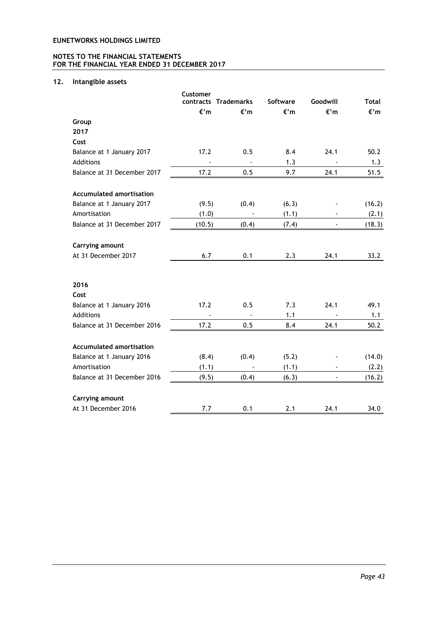# **12. Intangible assets**

|                                        | Customer | contracts Trademarks | Software | Goodwill         | <b>Total</b> |
|----------------------------------------|----------|----------------------|----------|------------------|--------------|
|                                        | €'m      | €'m                  | €'m      | $\varepsilon$ 'm | €'m          |
| Group                                  |          |                      |          |                  |              |
| 2017                                   |          |                      |          |                  |              |
| Cost                                   |          |                      |          |                  |              |
| Balance at 1 January 2017              | 17.2     | 0.5                  | 8.4      | 24.1             | 50.2         |
| Additions                              |          | ä,                   | 1.3      |                  | 1.3          |
| Balance at 31 December 2017            | 17.2     | 0.5                  | 9.7      | 24.1             | 51.5         |
| <b>Accumulated amortisation</b>        |          |                      |          |                  |              |
| Balance at 1 January 2017              | (9.5)    | (0.4)                | (6.3)    |                  | (16.2)       |
| Amortisation                           | (1.0)    | ä,                   | (1.1)    |                  | (2.1)        |
| Balance at 31 December 2017            | (10.5)   | (0.4)                | (7.4)    |                  | (18.3)       |
| Carrying amount                        |          |                      |          |                  |              |
| At 31 December 2017                    | 6.7      | 0.1                  | 2.3      | 24.1             | 33.2         |
|                                        |          |                      |          |                  |              |
| 2016<br>Cost                           |          |                      |          |                  |              |
|                                        | 17.2     | 0.5                  | 7.3      | 24.1             | 49.1         |
| Balance at 1 January 2016<br>Additions |          | $\overline{a}$       | 1.1      |                  | 1.1          |
| Balance at 31 December 2016            | 17.2     | 0.5                  | 8.4      | 24.1             | 50.2         |
|                                        |          |                      |          |                  |              |
| <b>Accumulated amortisation</b>        |          |                      |          |                  |              |
| Balance at 1 January 2016              | (8.4)    | (0.4)                | (5.2)    |                  | (14.0)       |
| Amortisation                           | (1.1)    |                      | (1.1)    |                  | (2.2)        |
| Balance at 31 December 2016            | (9.5)    | (0.4)                | (6.3)    | $\mathbf{r}$     | (16.2)       |
| Carrying amount                        |          |                      |          |                  |              |
| At 31 December 2016                    | 7.7      | 0.1                  | 2.1      | 24.1             | 34.0         |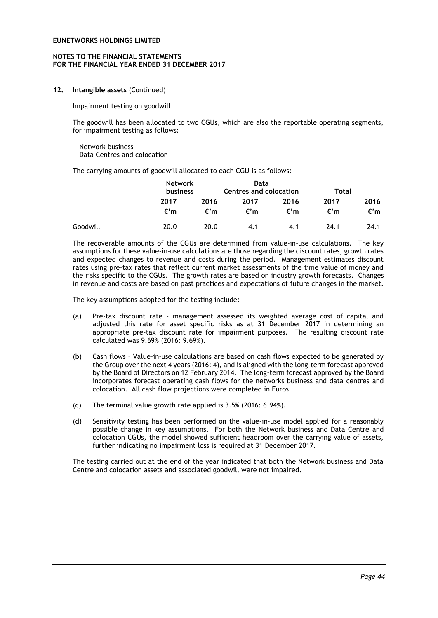### **NOTES TO THE FINANCIAL STATEMENTS FOR THE FINANCIAL YEAR ENDED 31 DECEMBER 2017**

#### **12. Intangible assets** (Continued)

#### Impairment testing on goodwill

The goodwill has been allocated to two CGUs, which are also the reportable operating segments, for impairment testing as follows:

- Network business
- Data Centres and colocation

The carrying amounts of goodwill allocated to each CGU is as follows:

|          | <b>Network</b><br><b>business</b> |             |             | Data<br><b>Centres and colocation</b> |             | Total       |  |
|----------|-----------------------------------|-------------|-------------|---------------------------------------|-------------|-------------|--|
|          | 2017<br>€'m                       | 2016<br>€'m | 2017<br>€'m | 2016<br>€'m                           | 2017<br>€'m | 2016<br>€'m |  |
| Goodwill | 20.0                              | 20.0        | 4.1         | 4.1                                   | 24.1        | 24.1        |  |

The recoverable amounts of the CGUs are determined from value-in-use calculations. The key assumptions for these value-in-use calculations are those regarding the discount rates, growth rates and expected changes to revenue and costs during the period. Management estimates discount rates using pre-tax rates that reflect current market assessments of the time value of money and the risks specific to the CGUs. The growth rates are based on industry growth forecasts. Changes in revenue and costs are based on past practices and expectations of future changes in the market.

The key assumptions adopted for the testing include:

- (a) Pre-tax discount rate management assessed its weighted average cost of capital and adjusted this rate for asset specific risks as at 31 December 2017 in determining an appropriate pre-tax discount rate for impairment purposes. The resulting discount rate calculated was 9.69% (2016: 9.69%).
- (b) Cash flows Value-in-use calculations are based on cash flows expected to be generated by the Group over the next 4 years (2016: 4), and is aligned with the long-term forecast approved by the Board of Directors on 12 February 2014. The long-term forecast approved by the Board incorporates forecast operating cash flows for the networks business and data centres and colocation. All cash flow projections were completed in Euros.
- (c) The terminal value growth rate applied is 3.5% (2016: 6.94%).
- (d) Sensitivity testing has been performed on the value-in-use model applied for a reasonably possible change in key assumptions. For both the Network business and Data Centre and colocation CGUs, the model showed sufficient headroom over the carrying value of assets, further indicating no impairment loss is required at 31 December 2017.

The testing carried out at the end of the year indicated that both the Network business and Data Centre and colocation assets and associated goodwill were not impaired.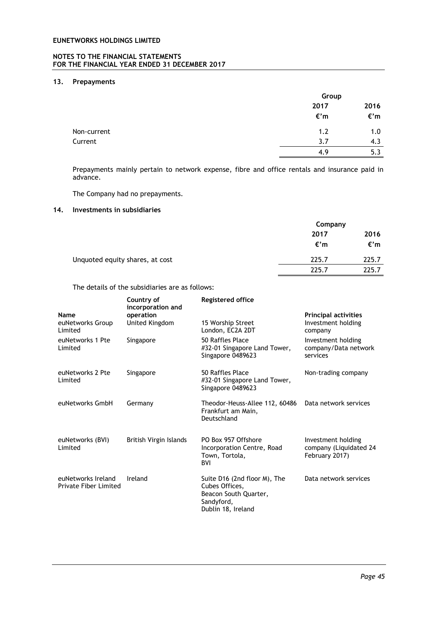# **13. Prepayments**

|             | Group |                  |  |
|-------------|-------|------------------|--|
|             | 2017  | 2016             |  |
|             | €'m   | $\varepsilon$ 'm |  |
| Non-current | 1.2   | 1.0              |  |
| Current     | 3.7   | 4.3              |  |
|             | 4.9   | 5.3              |  |

Prepayments mainly pertain to network expense, fibre and office rentals and insurance paid in advance.

The Company had no prepayments.

### **14. Investments in subsidiaries**

|                                 | Company |       |  |
|---------------------------------|---------|-------|--|
|                                 | 2017    | 2016  |  |
|                                 | €'m     | €'m   |  |
| Unquoted equity shares, at cost | 225.7   | 225.7 |  |
|                                 | 225.7   | 225.7 |  |

The details of the subsidiaries are as follows:

|                                                    | Country of<br>incorporation and | <b>Registered office</b>                                                                                    |                                                                |
|----------------------------------------------------|---------------------------------|-------------------------------------------------------------------------------------------------------------|----------------------------------------------------------------|
| Name<br>euNetworks Group<br>Limited                | operation<br>United Kingdom     | 15 Worship Street<br>London, EC2A 2DT                                                                       | <b>Principal activities</b><br>Investment holding<br>company   |
| euNetworks 1 Pte<br>Limited                        | Singapore                       | 50 Raffles Place<br>#32-01 Singapore Land Tower,<br>Singapore 0489623                                       | Investment holding<br>company/Data network<br>services         |
| euNetworks 2 Pte<br>Limited                        | Singapore                       | 50 Raffles Place<br>#32-01 Singapore Land Tower,<br>Singapore 0489623                                       | Non-trading company                                            |
| euNetworks GmbH                                    | Germany                         | Theodor-Heuss-Allee 112, 60486<br>Frankfurt am Main,<br>Deutschland                                         | Data network services                                          |
| euNetworks (BVI)<br>Limited                        | British Virgin Islands          | PO Box 957 Offshore<br>Incorporation Centre, Road<br>Town, Tortola,<br>BVI                                  | Investment holding<br>company (Liquidated 24<br>February 2017) |
| euNetworks Ireland<br><b>Private Fiber Limited</b> | Ireland                         | Suite D16 (2nd floor M), The<br>Cubes Offices,<br>Beacon South Quarter,<br>Sandyford,<br>Dublin 18, Ireland | Data network services                                          |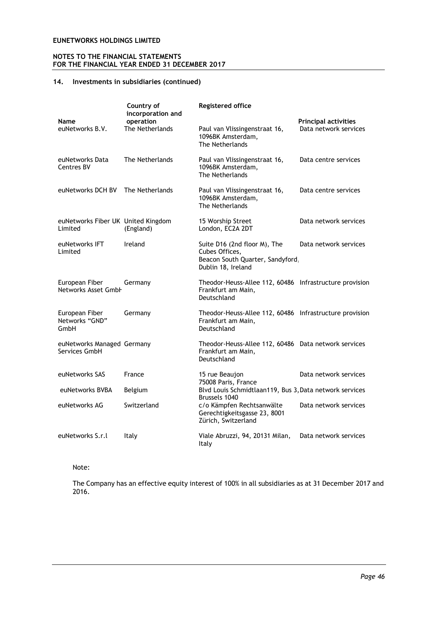# **14. Investments in subsidiaries (continued)**

| Name                                          | Country of<br>incorporation and<br>operation | <b>Registered office</b>                                                                                 | <b>Principal activities</b> |
|-----------------------------------------------|----------------------------------------------|----------------------------------------------------------------------------------------------------------|-----------------------------|
| euNetworks B.V.                               | The Netherlands                              | Paul van Vlissingenstraat 16,<br>1096BK Amsterdam,<br>The Netherlands                                    | Data network services       |
| euNetworks Data<br>Centres BV                 | The Netherlands                              | Paul van Vlissingenstraat 16,<br>1096BK Amsterdam,<br>The Netherlands                                    | Data centre services        |
| euNetworks DCH BV                             | The Netherlands                              | Paul van Vlissingenstraat 16,<br>1096BK Amsterdam,<br>The Netherlands                                    | Data centre services        |
| euNetworks Fiber UK United Kingdom<br>Limited | (England)                                    | 15 Worship Street<br>London, EC2A 2DT                                                                    | Data network services       |
| euNetworks IFT<br>Limited                     | Ireland                                      | Suite D16 (2nd floor M), The<br>Cubes Offices,<br>Beacon South Quarter, Sandyford,<br>Dublin 18, Ireland | Data network services       |
| European Fiber<br>Networks Asset GmbH         | Germany                                      | Theodor-Heuss-Allee 112, 60486 Infrastructure provision<br>Frankfurt am Main,<br>Deutschland             |                             |
| European Fiber<br>Networks "GND"<br>GmbH      | Germany                                      | Theodor-Heuss-Allee 112, 60486 Infrastructure provision<br>Frankfurt am Main,<br>Deutschland             |                             |
| euNetworks Managed Germany<br>Services GmbH   |                                              | Theodor-Heuss-Allee 112, 60486 Data network services<br>Frankfurt am Main,<br>Deutschland                |                             |
| euNetworks SAS                                | France                                       | 15 rue Beaujon<br>75008 Paris, France                                                                    | Data network services       |
| euNetworks BVBA                               | Belgium                                      | Blvd Louis Schmidtlaan119, Bus 3, Data network services<br>Brussels 1040                                 |                             |
| euNetworks AG                                 | Switzerland                                  | c/o Kämpfen Rechtsanwälte<br>Gerechtigkeitsgasse 23, 8001<br>Zürich, Switzerland                         | Data network services       |
| euNetworks S.r.l                              | Italy                                        | Viale Abruzzi, 94, 20131 Milan,<br>Italy                                                                 | Data network services       |

Note:

The Company has an effective equity interest of 100% in all subsidiaries as at 31 December 2017 and 2016.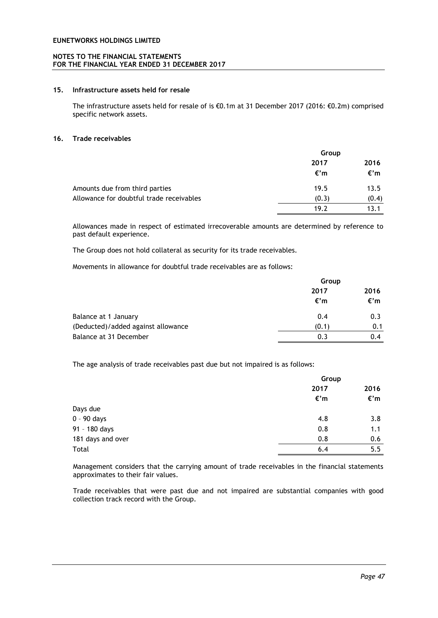### **NOTES TO THE FINANCIAL STATEMENTS FOR THE FINANCIAL YEAR ENDED 31 DECEMBER 2017**

### **15. Infrastructure assets held for resale**

The infrastructure assets held for resale of is €0.1m at 31 December 2017 (2016: €0.2m) comprised specific network assets.

### **16. Trade receivables**

|                                          | Group |       |  |
|------------------------------------------|-------|-------|--|
|                                          | 2017  | 2016  |  |
|                                          | €'m   | €'m   |  |
| Amounts due from third parties           | 19.5  | 13.5  |  |
| Allowance for doubtful trade receivables | (0.3) | (0.4) |  |
|                                          | 19.2  | 13.1  |  |

Allowances made in respect of estimated irrecoverable amounts are determined by reference to past default experience.

The Group does not hold collateral as security for its trade receivables.

Movements in allowance for doubtful trade receivables are as follows:

|                                    | Group |      |  |
|------------------------------------|-------|------|--|
|                                    | 2017  | 2016 |  |
|                                    | €'m   | €'m  |  |
| Balance at 1 January               | 0.4   | 0.3  |  |
| (Deducted)/added against allowance | (0.1) | 0.1  |  |
| Balance at 31 December             | 0.3   | 0.4  |  |

The age analysis of trade receivables past due but not impaired is as follows:

|                   | Group |      |  |
|-------------------|-------|------|--|
|                   | 2017  | 2016 |  |
|                   | €'m   | €'m  |  |
| Days due          |       |      |  |
| 0 - 90 days       | 4.8   | 3.8  |  |
| 91 - 180 days     | 0.8   | 1.1  |  |
| 181 days and over | 0.8   | 0.6  |  |
| Total             | 6.4   | 5.5  |  |

Management considers that the carrying amount of trade receivables in the financial statements approximates to their fair values.

Trade receivables that were past due and not impaired are substantial companies with good collection track record with the Group.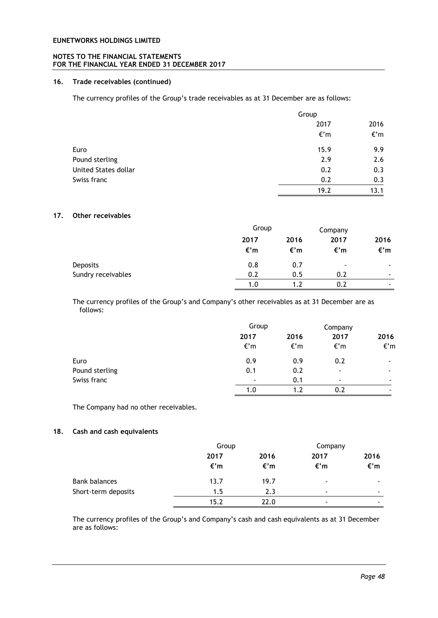# **NOTES TO THE FINANCIAL STATEMENTS FOR THE FINANCIAL YEAR ENDED 31 DECEMBER 2017**

### **16. Trade receivables (continued)**

The currency profiles of the Group's trade receivables as at 31 December are as follows:

|                      | Group            |      |  |
|----------------------|------------------|------|--|
|                      | 2017             | 2016 |  |
|                      | $\varepsilon$ 'm | €'m  |  |
| Euro                 | 15.9             | 9.9  |  |
| Pound sterling       | 2.9              | 2.6  |  |
| United States dollar | 0.2              | 0.3  |  |
| Swiss franc          | 0.2              | 0.3  |  |
|                      | 19.2             | 13.1 |  |

### **17. Other receivables**

|                    | Group |      | Company                  |                          |
|--------------------|-------|------|--------------------------|--------------------------|
|                    | 2017  | 2016 | 2017                     | 2016                     |
|                    | €'m   | €'m  | €'m                      | €'m                      |
| Deposits           | 0.8   | 0.7  | $\overline{\phantom{a}}$ | ۰                        |
| Sundry receivables | 0.2   | 0.5  | 0.2                      | $\overline{\phantom{a}}$ |
|                    | 1.0   | 1.2  | 0.2                      | $\blacksquare$           |

The currency profiles of the Group's and Company's other receivables as at 31 December are as follows:

|                | Group                    |             |             |                |  |
|----------------|--------------------------|-------------|-------------|----------------|--|
|                | 2017<br>€'m              | 2016<br>€'m | 2017<br>€'m | 2016<br>€'m    |  |
| Euro           | 0.9                      | 0.9         | 0.2         | $\blacksquare$ |  |
| Pound sterling | 0.1                      | 0.2         | ۰           | $\blacksquare$ |  |
| Swiss franc    | $\overline{\phantom{a}}$ | 0.1         | -           | ۰              |  |
|                | 1.0                      | 1.2         | 0.2         | $\blacksquare$ |  |

The Company had no other receivables.

# **18. Cash and cash equivalents**

|                      | Group |      | Company                  |                |
|----------------------|-------|------|--------------------------|----------------|
|                      | 2017  | 2016 | 2017                     | 2016           |
|                      | €'m   | €'m  | €'m                      | €'m            |
| <b>Bank balances</b> | 13.7  | 19.7 | $\overline{\phantom{0}}$ |                |
| Short-term deposits  | 1.5   | 2.3  | $\blacksquare$           | $\blacksquare$ |
|                      | 15.2  | 22.0 | $\blacksquare$           | $\blacksquare$ |

The currency profiles of the Group's and Company's cash and cash equivalents as at 31 December are as follows: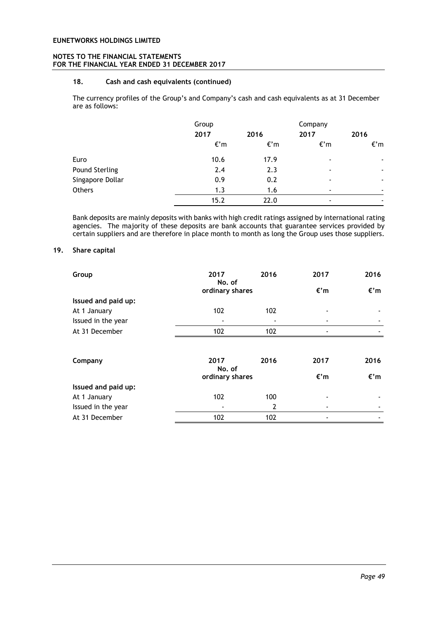### **18. Cash and cash equivalents (continued)**

The currency profiles of the Group's and Company's cash and cash equivalents as at 31 December are as follows:

|                  | Group<br>2017    | 2016 | Company<br>2017          | 2016                     |
|------------------|------------------|------|--------------------------|--------------------------|
|                  | $\varepsilon$ 'm | €'m  | €'m                      | €'m                      |
| Euro             | 10.6             | 17.9 | $\blacksquare$           |                          |
| Pound Sterling   | 2.4              | 2.3  | $\overline{\phantom{a}}$ | $\overline{\phantom{a}}$ |
| Singapore Dollar | 0.9              | 0.2  | $\overline{\phantom{a}}$ | ۰.                       |
| Others           | 1.3              | 1.6  | $\overline{\phantom{a}}$ | $\blacksquare$           |
|                  | 15.2             | 22.0 | $\blacksquare$           |                          |

Bank deposits are mainly deposits with banks with high credit ratings assigned by international rating agencies. The majority of these deposits are bank accounts that guarantee services provided by certain suppliers and are therefore in place month to month as long the Group uses those suppliers.

# **19. Share capital**

| Group               | 2017<br>No. of<br>ordinary shares | 2016 | 2017<br>€'m | 2016<br>€'m |
|---------------------|-----------------------------------|------|-------------|-------------|
| Issued and paid up: |                                   |      |             |             |
| At 1 January        | 102                               | 102  |             |             |
| Issued in the year  |                                   |      |             |             |
| At 31 December      | 102                               | 102  |             |             |
| Company             | 2017                              | 2016 | 2017        | 2016        |
|                     | No. of<br>ordinary shares         |      | €'m         | €'m         |
| Issued and paid up: |                                   |      |             |             |
| At 1 January        | 102                               | 100  |             |             |
| Issued in the year  |                                   | 2    |             |             |
| At 31 December      | 102                               | 102  |             |             |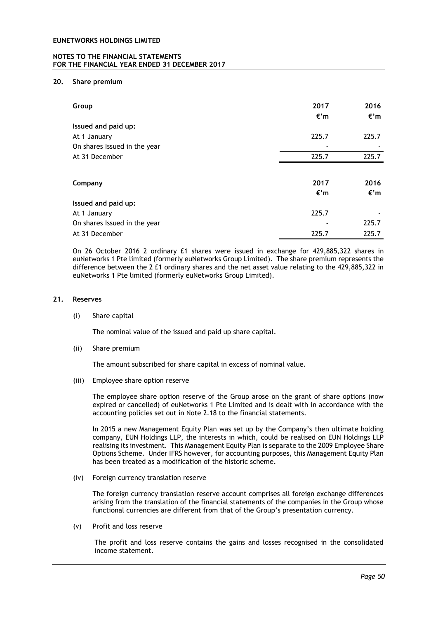#### **20. Share premium**

| Group                        | 2017<br>€'m | 2016<br>€'m |
|------------------------------|-------------|-------------|
| Issued and paid up:          |             |             |
| At 1 January                 | 225.7       | 225.7       |
| On shares Issued in the year |             |             |
| At 31 December               | 225.7       | 225.7       |
| Company                      | 2017        | 2016        |
| Issued and paid up:          | €'m         | €'m         |
| At 1 January                 | 225.7       |             |
| On shares Issued in the year |             | 225.7       |
| At 31 December               | 225.7       | 225.7       |

On 26 October 2016 2 ordinary £1 shares were issued in exchange for 429,885,322 shares in euNetworks 1 Pte limited (formerly euNetworks Group Limited). The share premium represents the difference between the 2 £1 ordinary shares and the net asset value relating to the 429,885,322 in euNetworks 1 Pte limited (formerly euNetworks Group Limited).

#### **21. Reserves**

(i) Share capital

The nominal value of the issued and paid up share capital.

(ii) Share premium

The amount subscribed for share capital in excess of nominal value.

(iii) Employee share option reserve

The employee share option reserve of the Group arose on the grant of share options (now expired or cancelled) of euNetworks 1 Pte Limited and is dealt with in accordance with the accounting policies set out in Note 2.18 to the financial statements.

In 2015 a new Management Equity Plan was set up by the Company's then ultimate holding company, EUN Holdings LLP, the interests in which, could be realised on EUN Holdings LLP realising its investment. This Management Equity Plan is separate to the 2009 Employee Share Options Scheme. Under IFRS however, for accounting purposes, this Management Equity Plan has been treated as a modification of the historic scheme.

(iv) Foreign currency translation reserve

The foreign currency translation reserve account comprises all foreign exchange differences arising from the translation of the financial statements of the companies in the Group whose functional currencies are different from that of the Group's presentation currency.

(v) Profit and loss reserve

The profit and loss reserve contains the gains and losses recognised in the consolidated income statement.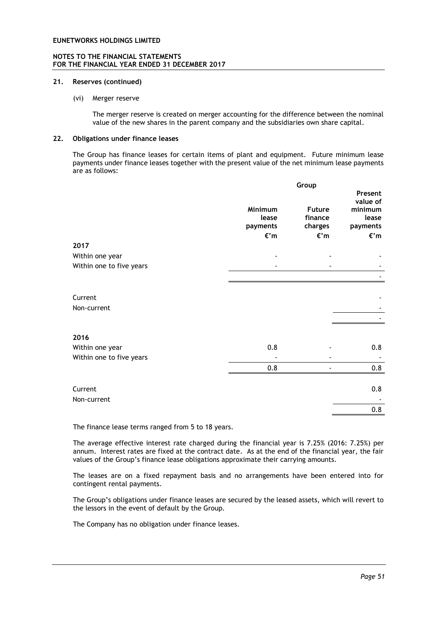### **NOTES TO THE FINANCIAL STATEMENTS FOR THE FINANCIAL YEAR ENDED 31 DECEMBER 2017**

#### **21. Reserves (continued)**

(vi) Merger reserve

 The merger reserve is created on merger accounting for the difference between the nominal value of the new shares in the parent company and the subsidiaries own share capital.

#### **22. Obligations under finance leases**

The Group has finance leases for certain items of plant and equipment. Future minimum lease payments under finance leases together with the present value of the net minimum lease payments are as follows:

|                          |                              | Group                               |                                                     |
|--------------------------|------------------------------|-------------------------------------|-----------------------------------------------------|
|                          | Minimum<br>lease<br>payments | <b>Future</b><br>finance<br>charges | Present<br>value of<br>minimum<br>lease<br>payments |
|                          | $\varepsilon$ 'm             | $\varepsilon$ 'm                    | $\varepsilon$ 'm                                    |
| 2017                     |                              |                                     |                                                     |
| Within one year          |                              |                                     |                                                     |
| Within one to five years |                              |                                     |                                                     |
|                          |                              |                                     |                                                     |
| Current                  |                              |                                     |                                                     |
| Non-current              |                              |                                     |                                                     |
|                          |                              |                                     |                                                     |
| 2016                     |                              |                                     |                                                     |
| Within one year          | 0.8                          |                                     | 0.8                                                 |
| Within one to five years |                              |                                     |                                                     |
|                          | 0.8                          |                                     | 0.8                                                 |
| Current                  |                              |                                     | 0.8                                                 |
| Non-current              |                              |                                     |                                                     |
|                          |                              |                                     | 0.8                                                 |
|                          |                              |                                     |                                                     |

The finance lease terms ranged from 5 to 18 years.

The average effective interest rate charged during the financial year is 7.25% (2016: 7.25%) per annum. Interest rates are fixed at the contract date. As at the end of the financial year, the fair values of the Group's finance lease obligations approximate their carrying amounts.

The leases are on a fixed repayment basis and no arrangements have been entered into for contingent rental payments.

The Group's obligations under finance leases are secured by the leased assets, which will revert to the lessors in the event of default by the Group.

The Company has no obligation under finance leases.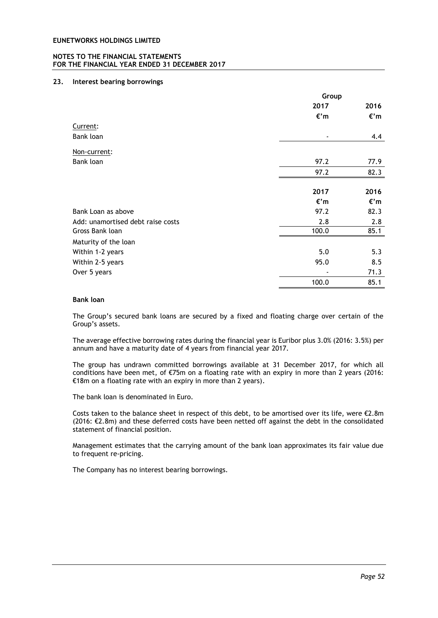#### **23. Interest bearing borrowings**

|                                   | Group            |                  |  |
|-----------------------------------|------------------|------------------|--|
|                                   | 2017             | 2016             |  |
|                                   | $\varepsilon$ 'm | $\varepsilon$ 'm |  |
| Current:                          |                  |                  |  |
| Bank loan                         |                  | 4.4              |  |
| Non-current:                      |                  |                  |  |
| Bank loan                         | 97.2             | 77.9             |  |
|                                   | 97.2             | 82.3             |  |
|                                   | 2017             | 2016             |  |
|                                   | €'m              | €'m              |  |
| Bank Loan as above                | 97.2             | 82.3             |  |
| Add: unamortised debt raise costs | 2.8              | 2.8              |  |
| Gross Bank loan                   | 100.0            | 85.1             |  |
| Maturity of the loan              |                  |                  |  |
| Within 1-2 years                  | 5.0              | 5.3              |  |
| Within 2-5 years                  | 95.0             | 8.5              |  |
| Over 5 years                      |                  | 71.3             |  |
|                                   | 100.0            | 85.1             |  |

#### **Bank loan**

The Group's secured bank loans are secured by a fixed and floating charge over certain of the Group's assets.

The average effective borrowing rates during the financial year is Euribor plus 3.0% (2016: 3.5%) per annum and have a maturity date of 4 years from financial year 2017.

The group has undrawn committed borrowings available at 31 December 2017, for which all conditions have been met, of €75m on a floating rate with an expiry in more than 2 years (2016: €18m on a floating rate with an expiry in more than 2 years).

The bank loan is denominated in Euro.

Costs taken to the balance sheet in respect of this debt, to be amortised over its life, were €2.8m (2016: €2.8m) and these deferred costs have been netted off against the debt in the consolidated statement of financial position.

Management estimates that the carrying amount of the bank loan approximates its fair value due to frequent re-pricing.

The Company has no interest bearing borrowings.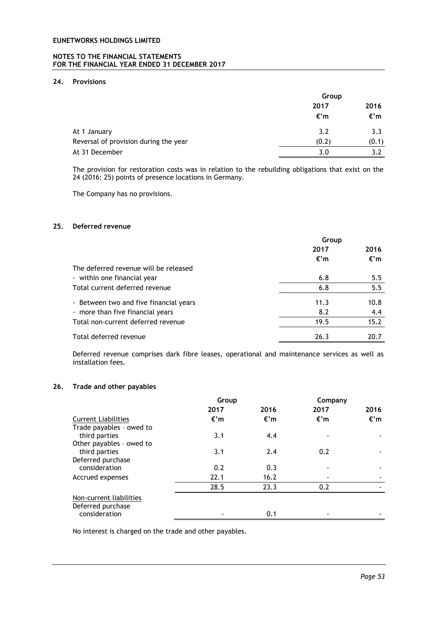### **24. Provisions**

|                                       | Group |       |  |
|---------------------------------------|-------|-------|--|
|                                       | 2017  | 2016  |  |
|                                       | €'m   | €'m   |  |
| At 1 January                          | 3.2   | 3.3   |  |
| Reversal of provision during the year | (0.2) | (0.1) |  |
| At 31 December                        | 3.0   | 3.2   |  |

The provision for restoration costs was in relation to the rebuilding obligations that exist on the 24 (2016: 25) points of presence locations in Germany.

The Company has no provisions.

#### **25. Deferred revenue**

|                                        | Group |      |
|----------------------------------------|-------|------|
|                                        | 2017  | 2016 |
|                                        | €'m   | €'m  |
| The deferred revenue will be released  |       |      |
| - within one financial year            | 6.8   | 5.5  |
| Total current deferred revenue         | 6.8   | 5.5  |
| - Between two and five financial years | 11.3  | 10.8 |
| - more than five financial years       | 8.2   | 4.4  |
| Total non-current deferred revenue     | 19.5  | 15.2 |
| Total deferred revenue                 | 26.3  | 20.7 |

Deferred revenue comprises dark fibre leases, operational and maintenance services as well as installation fees.

# **26. Trade and other payables**

|                            | Group |      | Company |      |
|----------------------------|-------|------|---------|------|
|                            | 2017  | 2016 | 2017    | 2016 |
| <b>Current Liabilities</b> | €'m   | €'m  | €'m     | €'m  |
| Trade payables - owed to   |       |      |         |      |
| third parties              | 3.1   | 4.4  |         |      |
| Other payables - owed to   |       |      |         |      |
| third parties              | 3.1   | 2.4  | 0.2     |      |
| Deferred purchase          |       |      |         |      |
| consideration              | 0.2   | 0.3  |         |      |
| Accrued expenses           | 22.1  | 16.2 |         |      |
|                            | 28.5  | 23.3 | 0.2     |      |
| Non-current liabilities    |       |      |         |      |
| Deferred purchase          |       |      |         |      |
| consideration              |       | 0.1  |         |      |

No interest is charged on the trade and other payables.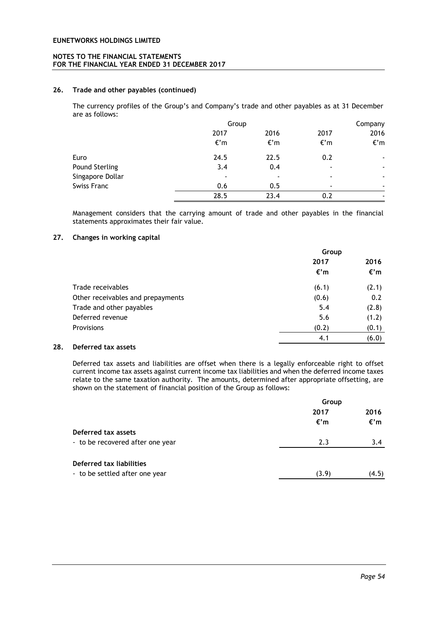### **26. Trade and other payables (continued)**

The currency profiles of the Group's and Company's trade and other payables as at 31 December are as follows:

|                  | Group          |      |                | Company        |  |
|------------------|----------------|------|----------------|----------------|--|
|                  | 2017           | 2016 | 2017           | 2016           |  |
|                  | €'m            | €'m  | €'m            | €'m            |  |
| Euro             | 24.5           | 22.5 | 0.2            | ۰.             |  |
| Pound Sterling   | 3.4            | 0.4  | $\blacksquare$ | $\blacksquare$ |  |
| Singapore Dollar | $\blacksquare$ |      | ۰              |                |  |
| Swiss Franc      | 0.6            | 0.5  | ۰              |                |  |
|                  | 28.5           | 23.4 | 0.2            |                |  |

Management considers that the carrying amount of trade and other payables in the financial statements approximates their fair value.

# **27. Changes in working capital**

|                                   | Group |       |
|-----------------------------------|-------|-------|
|                                   | 2017  | 2016  |
|                                   | €'m   | €'m   |
| Trade receivables                 | (6.1) | (2.1) |
| Other receivables and prepayments | (0.6) | 0.2   |
| Trade and other payables          | 5.4   | (2.8) |
| Deferred revenue                  | 5.6   | (1.2) |
| Provisions                        | (0.2) | (0.1) |
|                                   | 4.1   | (6.0) |

### **28. Deferred tax assets**

Deferred tax assets and liabilities are offset when there is a legally enforceable right to offset current income tax assets against current income tax liabilities and when the deferred income taxes relate to the same taxation authority. The amounts, determined after appropriate offsetting, are shown on the statement of financial position of the Group as follows:

|                                  | Group       |             |  |
|----------------------------------|-------------|-------------|--|
|                                  | 2017<br>€'m | 2016<br>€'m |  |
| Deferred tax assets              |             |             |  |
| - to be recovered after one year | 2.3         | 3.4         |  |
| Deferred tax liabilities         |             |             |  |
| - to be settled after one year   | (3.9)       | (4.5)       |  |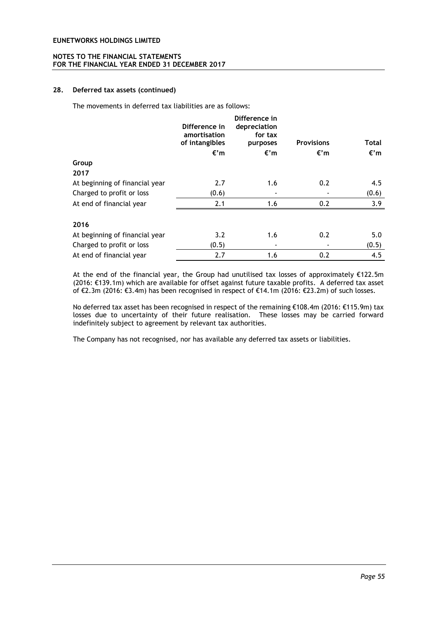### **28. Deferred tax assets (continued)**

The movements in deferred tax liabilities are as follows:

|                                | Difference in<br>amortisation<br>of intangibles<br>€'m | Difference in<br>depreciation<br>for tax<br>purposes<br>€'m | <b>Provisions</b><br>€'m | <b>Total</b><br>€'m |
|--------------------------------|--------------------------------------------------------|-------------------------------------------------------------|--------------------------|---------------------|
| Group                          |                                                        |                                                             |                          |                     |
| 2017                           |                                                        |                                                             |                          |                     |
| At beginning of financial year | 2.7                                                    | 1.6                                                         | 0.2                      | 4.5                 |
| Charged to profit or loss      | (0.6)                                                  |                                                             |                          | (0.6)               |
| At end of financial year       | 2.1                                                    | 1.6                                                         | 0.2                      | 3.9                 |
| 2016                           |                                                        |                                                             |                          |                     |
| At beginning of financial year | 3.2                                                    | 1.6                                                         | 0.2                      | 5.0                 |
| Charged to profit or loss      | (0.5)                                                  |                                                             |                          | (0.5)               |
| At end of financial year       | 2.7                                                    | 1.6                                                         | 0.2                      | 4.5                 |

At the end of the financial year, the Group had unutilised tax losses of approximately €122.5m (2016: €139.1m) which are available for offset against future taxable profits. A deferred tax asset of €2.3m (2016: €3.4m) has been recognised in respect of €14.1m (2016: €23.2m) of such losses.

No deferred tax asset has been recognised in respect of the remaining €108.4m (2016: €115.9m) tax losses due to uncertainty of their future realisation. These losses may be carried forward indefinitely subject to agreement by relevant tax authorities.

The Company has not recognised, nor has available any deferred tax assets or liabilities.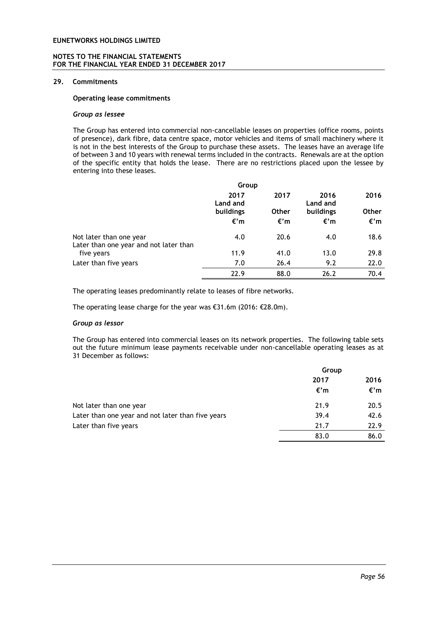#### **29. Commitments**

#### **Operating lease commitments**

#### *Group as lessee*

The Group has entered into commercial non-cancellable leases on properties (office rooms, points of presence), dark fibre, data centre space, motor vehicles and items of small machinery where it is not in the best interests of the Group to purchase these assets. The leases have an average life of between 3 and 10 years with renewal terms included in the contracts. Renewals are at the option of the specific entity that holds the lease. There are no restrictions placed upon the lessee by entering into these leases.

|                                                                   | Group                   |              |                  |              |
|-------------------------------------------------------------------|-------------------------|--------------|------------------|--------------|
|                                                                   | 2017<br><b>Land and</b> | 2017         | 2016<br>Land and | 2016         |
|                                                                   | buildings               | <b>Other</b> | buildings        | <b>Other</b> |
|                                                                   | €'m                     | €'m          | €'m              | €'m          |
| Not later than one year<br>Later than one year and not later than | 4.0                     | 20.6         | 4.0              | 18.6         |
| five years                                                        | 11.9                    | 41.0         | 13.0             | 29.8         |
| Later than five years                                             | 7.0                     | 26.4         | 9.2              | 22.0         |
|                                                                   | 22.9                    | 88.0         | 26.2             | 70.4         |

The operating leases predominantly relate to leases of fibre networks.

The operating lease charge for the year was €31.6m (2016: €28.0m).

#### *Group as lessor*

The Group has entered into commercial leases on its network properties. The following table sets out the future minimum lease payments receivable under non-cancellable operating leases as at 31 December as follows:

|                                                   | Group |      |  |
|---------------------------------------------------|-------|------|--|
|                                                   | 2017  | 2016 |  |
|                                                   | €'m   | €'m  |  |
| Not later than one year                           | 21.9  | 20.5 |  |
| Later than one year and not later than five years | 39.4  | 42.6 |  |
| Later than five years                             | 21.7  | 22.9 |  |
|                                                   | 83.0  | 86.0 |  |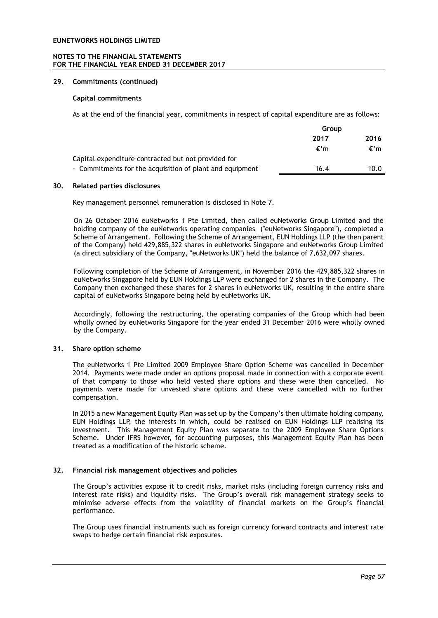### **NOTES TO THE FINANCIAL STATEMENTS FOR THE FINANCIAL YEAR ENDED 31 DECEMBER 2017**

### **29. Commitments (continued)**

#### **Capital commitments**

As at the end of the financial year, commitments in respect of capital expenditure are as follows:

|                                                          | Group |      |
|----------------------------------------------------------|-------|------|
|                                                          | 2017  | 2016 |
|                                                          | €'m   | €'m  |
| Capital expenditure contracted but not provided for      |       |      |
| - Commitments for the acquisition of plant and equipment | 16.4  | 10.0 |

### **30. Related parties disclosures**

Key management personnel remuneration is disclosed in Note 7.

On 26 October 2016 euNetworks 1 Pte Limited, then called euNetworks Group Limited and the holding company of the euNetworks operating companies ("euNetworks Singapore"), completed a Scheme of Arrangement. Following the Scheme of Arrangement, EUN Holdings LLP (the then parent of the Company) held 429,885,322 shares in euNetworks Singapore and euNetworks Group Limited (a direct subsidiary of the Company, "euNetworks UK") held the balance of 7,632,097 shares.

Following completion of the Scheme of Arrangement, in November 2016 the 429,885,322 shares in euNetworks Singapore held by EUN Holdings LLP were exchanged for 2 shares in the Company. The Company then exchanged these shares for 2 shares in euNetworks UK, resulting in the entire share capital of euNetworks Singapore being held by euNetworks UK.

Accordingly, following the restructuring, the operating companies of the Group which had been wholly owned by euNetworks Singapore for the year ended 31 December 2016 were wholly owned by the Company.

#### **31. Share option scheme**

The euNetworks 1 Pte Limited 2009 Employee Share Option Scheme was cancelled in December 2014. Payments were made under an options proposal made in connection with a corporate event of that company to those who held vested share options and these were then cancelled. No payments were made for unvested share options and these were cancelled with no further compensation.

In 2015 a new Management Equity Plan was set up by the Company's then ultimate holding company, EUN Holdings LLP, the interests in which, could be realised on EUN Holdings LLP realising its investment. This Management Equity Plan was separate to the 2009 Employee Share Options Scheme. Under IFRS however, for accounting purposes, this Management Equity Plan has been treated as a modification of the historic scheme.

# **32. Financial risk management objectives and policies**

The Group's activities expose it to credit risks, market risks (including foreign currency risks and interest rate risks) and liquidity risks. The Group's overall risk management strategy seeks to minimise adverse effects from the volatility of financial markets on the Group's financial performance.

The Group uses financial instruments such as foreign currency forward contracts and interest rate swaps to hedge certain financial risk exposures.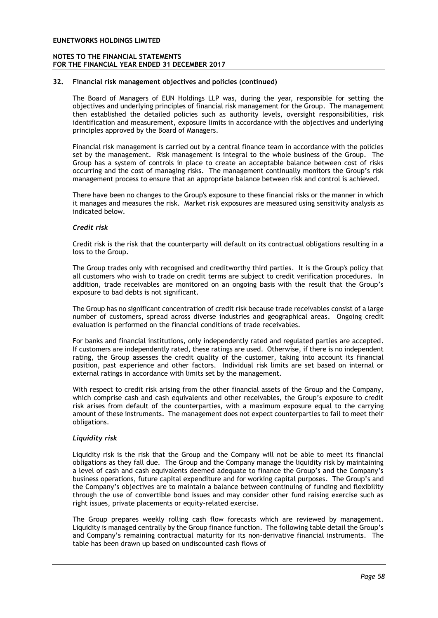#### **32. Financial risk management objectives and policies (continued)**

The Board of Managers of EUN Holdings LLP was, during the year, responsible for setting the objectives and underlying principles of financial risk management for the Group. The management then established the detailed policies such as authority levels, oversight responsibilities, risk identification and measurement, exposure limits in accordance with the objectives and underlying principles approved by the Board of Managers.

Financial risk management is carried out by a central finance team in accordance with the policies set by the management. Risk management is integral to the whole business of the Group. The Group has a system of controls in place to create an acceptable balance between cost of risks occurring and the cost of managing risks. The management continually monitors the Group's risk management process to ensure that an appropriate balance between risk and control is achieved.

There have been no changes to the Group's exposure to these financial risks or the manner in which it manages and measures the risk. Market risk exposures are measured using sensitivity analysis as indicated below.

#### *Credit risk*

Credit risk is the risk that the counterparty will default on its contractual obligations resulting in a loss to the Group.

The Group trades only with recognised and creditworthy third parties. It is the Group's policy that all customers who wish to trade on credit terms are subject to credit verification procedures. In addition, trade receivables are monitored on an ongoing basis with the result that the Group's exposure to bad debts is not significant.

The Group has no significant concentration of credit risk because trade receivables consist of a large number of customers, spread across diverse industries and geographical areas. Ongoing credit evaluation is performed on the financial conditions of trade receivables.

For banks and financial institutions, only independently rated and regulated parties are accepted. If customers are independently rated, these ratings are used. Otherwise, if there is no independent rating, the Group assesses the credit quality of the customer, taking into account its financial position, past experience and other factors. Individual risk limits are set based on internal or external ratings in accordance with limits set by the management.

With respect to credit risk arising from the other financial assets of the Group and the Company, which comprise cash and cash equivalents and other receivables, the Group's exposure to credit risk arises from default of the counterparties, with a maximum exposure equal to the carrying amount of these instruments. The management does not expect counterparties to fail to meet their obligations.

### *Liquidity risk*

Liquidity risk is the risk that the Group and the Company will not be able to meet its financial obligations as they fall due. The Group and the Company manage the liquidity risk by maintaining a level of cash and cash equivalents deemed adequate to finance the Group's and the Company's business operations, future capital expenditure and for working capital purposes. The Group's and the Company's objectives are to maintain a balance between continuing of funding and flexibility through the use of convertible bond issues and may consider other fund raising exercise such as right issues, private placements or equity-related exercise.

The Group prepares weekly rolling cash flow forecasts which are reviewed by management. Liquidity is managed centrally by the Group finance function. The following table detail the Group's and Company's remaining contractual maturity for its non-derivative financial instruments. The table has been drawn up based on undiscounted cash flows of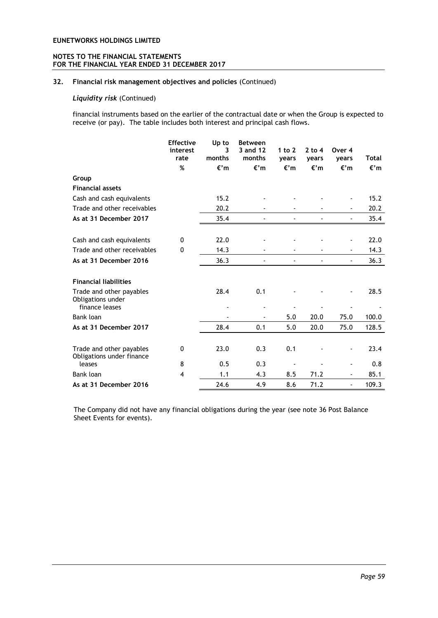# **NOTES TO THE FINANCIAL STATEMENTS FOR THE FINANCIAL YEAR ENDED 31 DECEMBER 2017**

# **32. Financial risk management objectives and policies** (Continued)

# *Liquidity risk* (Continued)

financial instruments based on the earlier of the contractual date or when the Group is expected to receive (or pay). The table includes both interest and principal cash flows.

|                                                       | <b>Effective</b><br>interest<br>rate | Up to<br>3<br>months | <b>Between</b><br>3 and 12<br>months | 1 to $2$<br>years        | $2$ to 4<br>years | Over <sub>4</sub><br>years | Total |
|-------------------------------------------------------|--------------------------------------|----------------------|--------------------------------------|--------------------------|-------------------|----------------------------|-------|
|                                                       | %                                    | €'m                  | €'m                                  | €'m                      | €'m               | €'m                        | €'m   |
| Group                                                 |                                      |                      |                                      |                          |                   |                            |       |
| <b>Financial assets</b>                               |                                      |                      |                                      |                          |                   |                            |       |
| Cash and cash equivalents                             |                                      | 15.2                 |                                      |                          |                   | -                          | 15.2  |
| Trade and other receivables                           |                                      | 20.2                 |                                      | $\overline{\phantom{0}}$ | $\overline{a}$    | $\overline{\phantom{a}}$   | 20.2  |
| As at 31 December 2017                                |                                      | 35.4                 |                                      |                          |                   |                            | 35.4  |
|                                                       |                                      | 22.0                 |                                      |                          |                   |                            | 22.0  |
| Cash and cash equivalents                             | 0                                    |                      |                                      |                          |                   |                            |       |
| Trade and other receivables                           | $\mathbf{0}$                         | 14.3                 |                                      |                          |                   | $\overline{\phantom{0}}$   | 14.3  |
| As at 31 December 2016                                |                                      | 36.3                 | ٠                                    | $\blacksquare$           | ä,                | $\overline{\phantom{0}}$   | 36.3  |
| <b>Financial liabilities</b>                          |                                      |                      |                                      |                          |                   |                            |       |
| Trade and other payables<br>Obligations under         |                                      | 28.4                 | 0.1                                  |                          |                   |                            | 28.5  |
| finance leases                                        |                                      |                      |                                      |                          |                   |                            |       |
| Bank loan                                             |                                      |                      |                                      | 5.0                      | 20.0              | 75.0                       | 100.0 |
| As at 31 December 2017                                |                                      | 28.4                 | 0.1                                  | 5.0                      | 20.0              | 75.0                       | 128.5 |
| Trade and other payables<br>Obligations under finance | 0                                    | 23.0                 | 0.3                                  | 0.1                      |                   |                            | 23.4  |
| leases                                                | 8                                    | 0.5                  | 0.3                                  |                          |                   | -                          | 0.8   |
| Bank loan                                             | 4                                    | 1.1                  | 4.3                                  | 8.5                      | 71.2              | $\overline{\phantom{0}}$   | 85.1  |
| As at 31 December 2016                                |                                      | 24.6                 | 4.9                                  | 8.6                      | 71.2              | -                          | 109.3 |

 The Company did not have any financial obligations during the year (see note 36 Post Balance Sheet Events for events).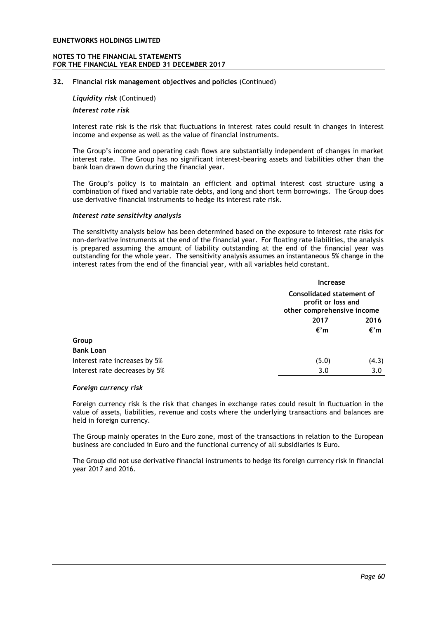# **32. Financial risk management objectives and policies** (Continued)

#### *Liquidity risk* (Continued)

### *Interest rate risk*

Interest rate risk is the risk that fluctuations in interest rates could result in changes in interest income and expense as well as the value of financial instruments.

The Group's income and operating cash flows are substantially independent of changes in market interest rate. The Group has no significant interest-bearing assets and liabilities other than the bank loan drawn down during the financial year.

The Group's policy is to maintain an efficient and optimal interest cost structure using a combination of fixed and variable rate debts, and long and short term borrowings. The Group does use derivative financial instruments to hedge its interest rate risk.

### *Interest rate sensitivity analysis*

The sensitivity analysis below has been determined based on the exposure to interest rate risks for non-derivative instruments at the end of the financial year. For floating rate liabilities, the analysis is prepared assuming the amount of liability outstanding at the end of the financial year was outstanding for the whole year. The sensitivity analysis assumes an instantaneous 5% change in the interest rates from the end of the financial year, with all variables held constant.

|                               | <b>Increase</b>                                                               |       |  |
|-------------------------------|-------------------------------------------------------------------------------|-------|--|
|                               | Consolidated statement of<br>profit or loss and<br>other comprehensive income |       |  |
|                               | 2017                                                                          |       |  |
|                               | €'m                                                                           | €'m   |  |
| Group                         |                                                                               |       |  |
| <b>Bank Loan</b>              |                                                                               |       |  |
| Interest rate increases by 5% | (5.0)                                                                         | (4.3) |  |
| Interest rate decreases by 5% | 3.0                                                                           | 3.0   |  |

#### *Foreign currency risk*

Foreign currency risk is the risk that changes in exchange rates could result in fluctuation in the value of assets, liabilities, revenue and costs where the underlying transactions and balances are held in foreign currency.

The Group mainly operates in the Euro zone, most of the transactions in relation to the European business are concluded in Euro and the functional currency of all subsidiaries is Euro.

The Group did not use derivative financial instruments to hedge its foreign currency risk in financial year 2017 and 2016.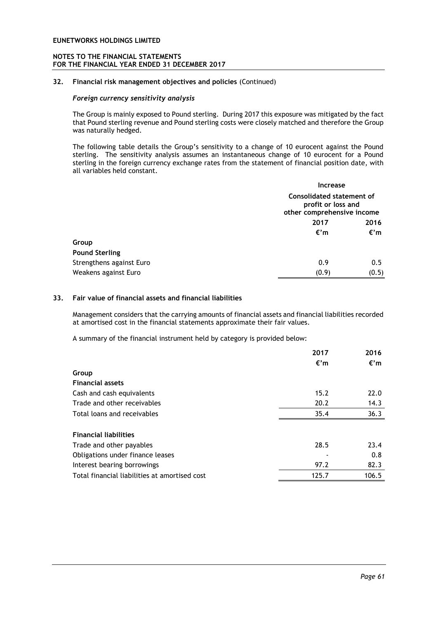### **NOTES TO THE FINANCIAL STATEMENTS FOR THE FINANCIAL YEAR ENDED 31 DECEMBER 2017**

#### **32. Financial risk management objectives and policies** (Continued)

#### *Foreign currency sensitivity analysis*

The Group is mainly exposed to Pound sterling. During 2017 this exposure was mitigated by the fact that Pound sterling revenue and Pound sterling costs were closely matched and therefore the Group was naturally hedged.

The following table details the Group's sensitivity to a change of 10 eurocent against the Pound sterling. The sensitivity analysis assumes an instantaneous change of 10 eurocent for a Pound sterling in the foreign currency exchange rates from the statement of financial position date, with all variables held constant.

|                          | <b>Increase</b> |                                                                                      |  |  |
|--------------------------|-----------------|--------------------------------------------------------------------------------------|--|--|
|                          |                 | <b>Consolidated statement of</b><br>profit or loss and<br>other comprehensive income |  |  |
|                          | 2017            | 2016                                                                                 |  |  |
|                          | €'m             | €'m                                                                                  |  |  |
| Group                    |                 |                                                                                      |  |  |
| <b>Pound Sterling</b>    |                 |                                                                                      |  |  |
| Strengthens against Euro | 0.9             | 0.5                                                                                  |  |  |
| Weakens against Euro     | (0.9)           | (0.5)                                                                                |  |  |

# **33. Fair value of financial assets and financial liabilities**

Management considers that the carrying amounts of financial assets and financial liabilities recorded at amortised cost in the financial statements approximate their fair values.

A summary of the financial instrument held by category is provided below:

|                                               | 2017  | 2016  |
|-----------------------------------------------|-------|-------|
|                                               | €'m   | €'m   |
| Group                                         |       |       |
| <b>Financial assets</b>                       |       |       |
| Cash and cash equivalents                     | 15.2  | 22.0  |
| Trade and other receivables                   | 20.2  | 14.3  |
| Total loans and receivables                   | 35.4  | 36.3  |
| <b>Financial liabilities</b>                  |       |       |
| Trade and other payables                      | 28.5  | 23.4  |
| Obligations under finance leases              |       | 0.8   |
| Interest bearing borrowings                   | 97.2  | 82.3  |
| Total financial liabilities at amortised cost | 125.7 | 106.5 |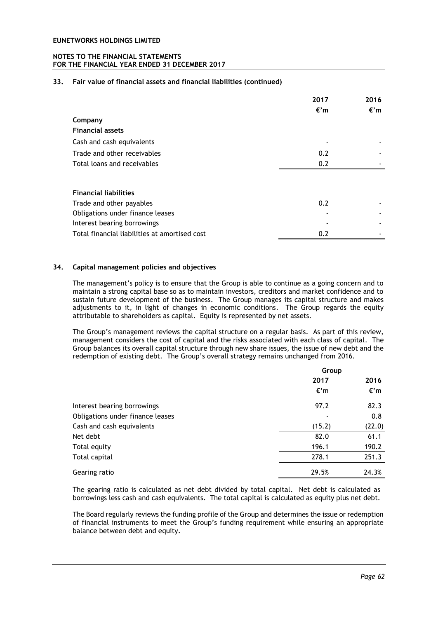### **33. Fair value of financial assets and financial liabilities (continued)**

|                                               | 2017 | 2016 |
|-----------------------------------------------|------|------|
|                                               | €'m  | €'m  |
| Company                                       |      |      |
| <b>Financial assets</b>                       |      |      |
| Cash and cash equivalents                     |      |      |
| Trade and other receivables                   | 0.2  |      |
| Total loans and receivables                   | 0.2  |      |
|                                               |      |      |
| <b>Financial liabilities</b>                  |      |      |
| Trade and other payables                      | 0.2  |      |
| Obligations under finance leases              |      |      |
| Interest bearing borrowings                   |      |      |
| Total financial liabilities at amortised cost | 0.2  |      |

#### **34. Capital management policies and objectives**

The management's policy is to ensure that the Group is able to continue as a going concern and to maintain a strong capital base so as to maintain investors, creditors and market confidence and to sustain future development of the business. The Group manages its capital structure and makes adjustments to it, in light of changes in economic conditions. The Group regards the equity attributable to shareholders as capital. Equity is represented by net assets.

The Group's management reviews the capital structure on a regular basis. As part of this review, management considers the cost of capital and the risks associated with each class of capital. The Group balances its overall capital structure through new share issues, the issue of new debt and the redemption of existing debt. The Group's overall strategy remains unchanged from 2016.

|                                  | Group  |             |  |
|----------------------------------|--------|-------------|--|
|                                  | 2017   | 2016<br>€'m |  |
|                                  | €'m    |             |  |
| Interest bearing borrowings      | 97.2   | 82.3        |  |
| Obligations under finance leases |        | 0.8         |  |
| Cash and cash equivalents        | (15.2) | (22.0)      |  |
| Net debt                         | 82.0   | 61.1        |  |
| Total equity                     | 196.1  | 190.2       |  |
| Total capital                    | 278.1  | 251.3       |  |
| Gearing ratio                    | 29.5%  | 24.3%       |  |

The gearing ratio is calculated as net debt divided by total capital. Net debt is calculated as borrowings less cash and cash equivalents. The total capital is calculated as equity plus net debt.

The Board regularly reviews the funding profile of the Group and determines the issue or redemption of financial instruments to meet the Group's funding requirement while ensuring an appropriate balance between debt and equity.